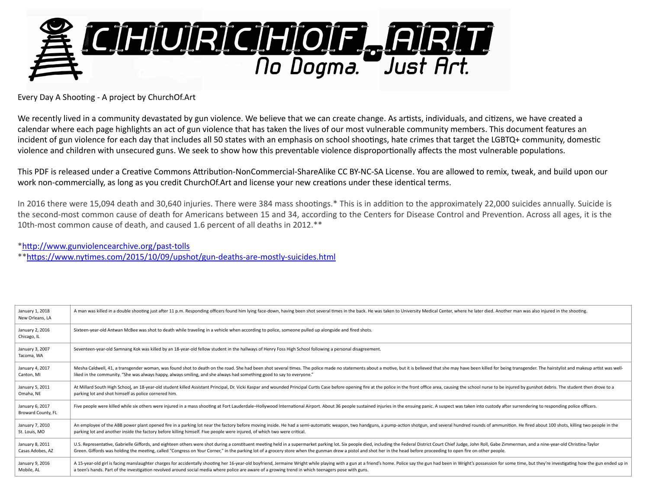

Every Day A Shooting - A project by ChurchOf.Art

We recently lived in a community devastated by gun violence. We believe that we can create change. As artists, individuals, and citizens, we have created a calendar where each page highlights an act of gun violence that has taken the lives of our most vulnerable community members. This document features an incident of gun violence for each day that includes all 50 states with an emphasis on school shootings, hate crimes that target the LGBTQ+ community, domestic violence and children with unsecured guns. We seek to show how this preventable violence disproportionally affects the most vulnerable populations.

This PDF is released under a Creative Commons Attribution-NonCommercial-ShareAlike CC BY-NC-SA License. You are allowed to remix, tweak, and build upon our work non-commercially, as long as you credit ChurchOf.Art and license your new creations under these identical terms.

In 2016 there were 15,094 death and 30,640 injuries. There were 384 mass shootings.\* This is in addition to the approximately 22,000 suicides annually. Suicide is the second-most common cause of death for Americans between 15 and 34, according to the Centers for Disease Control and Prevention. Across all ages, it is the 10th-most common cause of death, and caused 1.6 percent of all deaths in 2012.\*\*

[\\*hlp://www.gunviolencearchive.org/past-tolls](http://www.gunviolencearchive.org/past-tolls)

\*\*[hlps://www.ny<mes.com/2015/10/09/upshot/gun-deaths-are-mostly-suicides.html](https://www.nytimes.com/2015/10/09/upshot/gun-deaths-are-mostly-suicides.html)

| January 1, 2018<br>New Orleans, LA    | A man was killed in a double shooting just after 11 p.m. Responding officers found him lying face-down, having been shot several times in the back. He was taken to University Medical Center, where he later died. Another ma |
|---------------------------------------|--------------------------------------------------------------------------------------------------------------------------------------------------------------------------------------------------------------------------------|
| January 2, 2016<br>Chicago, IL        | Sixteen-year-old Antwan McBee was shot to death while traveling in a vehicle when according to police, someone pulled up alongside and fired shots.                                                                            |
| January 3, 2007<br>Tacoma, WA         | Seventeen-year-old Samnang Kok was killed by an 18-year-old fellow student in the hallways of Henry Foss High School following a personal disagreement.                                                                        |
| January 4, 2017                       | Mesha Caldwell, 41, a transgender woman, was found shot to death on the road. She had been shot several times. The police made no statements about a motive, but it is believed that she may have been killed for being transg |
| Canton, MI                            | liked in the community. "She was always happy, always smiling, and she always had something good to say to everyone."                                                                                                          |
| January 5, 2011                       | At Millard South High School, an 18-year-old student killed Assistant Principal, Dr. Vicki Kaspar and wounded Principal Curtis Case before opening fire at the police in the front office area, causing the school nurse to be |
| Omaha, NE                             | parking lot and shot himself as police cornered him.                                                                                                                                                                           |
| January 6, 2017<br>Broward County, FL | Five people were killed while six others were injured in a mass shooting at Fort Lauderdale-Hollywood International Airport. About 36 people sustained injuries in the ensuing panic. A suspect was taken into custody after s |
| January 7, 2010                       | An employee of the ABB power plant opened fire in a parking lot near the factory before moving inside. He had a semi-automatic weapon, two handguns, a pump-action shotgun, and several hundred rounds of ammunition. He fired |
| St. Louis, MO                         | parking lot and another inside the factory before killing himself. Five people were injured, of which two were critical.                                                                                                       |
| January 8, 2011                       | U.S. Representative, Gabrielle Giffords, and eighteen others were shot during a constituent meeting held in a supermarket parking lot. Six people died, including the Federal District Court Chief Judge, John Roll, Gabe Zimm |
| Casas Adobes, AZ                      | Green. Giffords was holding the meeting, called "Congress on Your Corner," in the parking lot of a grocery store when the gunman drew a pistol and shot her in the head before proceeding to open fire on other people.        |
| January 9, 2016                       | A 15-year-old girl is facing manslaughter charges for accidentally shooting her 16-year-old boyfriend, Jermaine Wright while playing with a gun at a friend's home. Police say the gun had been in Wright's possession for som |
| Mobile, AL                            | a teen's hands. Part of the investigation revolved around social media where police are aware of a growing trend in which teenagers pose with guns.                                                                            |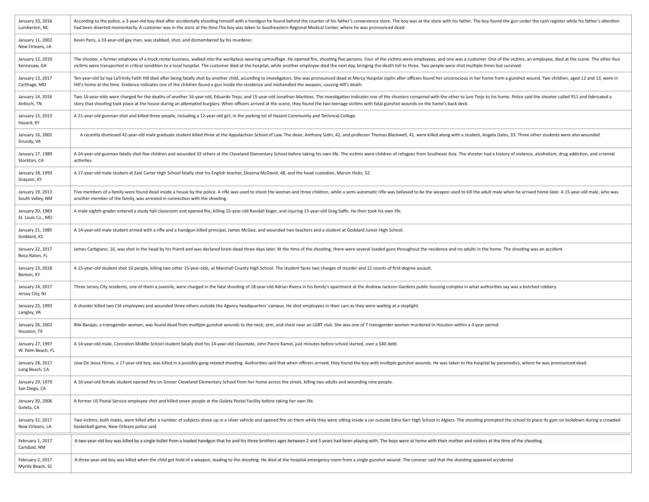| January 10, 2016<br>Lumberton, NC     | According to the police, a 3-year-old boy died after accidentally shooting himself with a handgun he found behind the counter of his father's convenience store. The boy was at the store with his father. The boy found the g<br>had been diverted momentarily. A customer was in the store at the time. The boy was taken to Southeastern Regional Medical Center, where he was pronounced dead.                                                               |
|---------------------------------------|------------------------------------------------------------------------------------------------------------------------------------------------------------------------------------------------------------------------------------------------------------------------------------------------------------------------------------------------------------------------------------------------------------------------------------------------------------------|
| January 11, 2002<br>New Orleans, LA   | Kevin Paris, a 33-year-old gay man, was stabbed, shot, and dismembered by his murderer.                                                                                                                                                                                                                                                                                                                                                                          |
| January 12, 2010<br>Kennesaw, GA      | The shooter, a former employee of a truck rental business, walked into the workplace wearing camouflage. He opened fire, shooting five persons. Four of the victims were employees, and one was a customer. One of the victims<br>victims were transported in critical condition to a local hospital. The customer died at the hospital, while another employee died the next day, bringing the death toll to three. Two people were shot multiple times but sur |
| January 13, 2017<br>Carthage, MO      | Ten-year-old Sa'nya LaTrinity Faith Hill died after being fatally shot by another child, according to investigators. She was pronounced dead at Mercy Hospital Joplin after officers found her unconscious in her home from a<br>Hill's home at the time. Evidence indicates one of the children found a gun inside the residence and mishandled the weapon, causing Hill's death.                                                                               |
| January 14, 2016<br>Antioch, TN       | Two 16-year-olds were charged for the deaths of another 16-year-old, Eduardo Trejo, and 15-year-old Jonathan Martinez. The investigation indicates one of the shooters conspired with the other to lure Trejo to his home. Pol<br>story that shooting took place at the house during an attempted burglary. When officers arrived at the scene, they found the two teenage victims with fatal gunshot wounds on the home's back deck.                            |
| January 15, 2013<br>Hazard, KY        | A 21-year-old gunman shot and killed three people, including a 12-year-old girl, in the parking lot of Hazard Community and Technical College.                                                                                                                                                                                                                                                                                                                   |
| January 16, 2002<br>Grundy, VA        | A recently dismissed 42-year-old male graduate student killed three at the Appalachian School of Law. The dean, Anthony Sutin, 42, and professor Thomas Blackwell, 41, were killed along with a student, Angela Dales, 33. Thr                                                                                                                                                                                                                                   |
| January 17, 1989<br>Stockton, CA      | A 24-year-old gunman fatally shot five children and wounded 32 others at the Cleveland Elementary School before taking his own life. The victims were children of refugees from Southeast Asia. The shooter had a history of v<br>activities.                                                                                                                                                                                                                    |
| January 18, 1993<br>Grayson, KY       | A 17-year-old male student at East Carter High School fatally shot his English teacher, Deanna McDavid, 48, and the head custodian, Marvin Hicks, 52.                                                                                                                                                                                                                                                                                                            |
| January 19, 2013<br>South Valley, NM  | Five members of a family were found dead inside a house by the police. A rifle was used to shoot the woman and three children, while a semi-automatic rifle was believed to be the weapon used to kill the adult male when he<br>another member of the family, was arrested in connection with the shooting.                                                                                                                                                     |
| January 20, 1983<br>St. Louis Co., MO | A male eighth-grader entered a study hall classroom and opened fire, killing 15-year-old Randall Koger, and injuring 15-year-old Greg Saffo. He then took his own life.                                                                                                                                                                                                                                                                                          |
| January 21, 1985<br>Goddard, KS       | A 14-year-old male student armed with a rifle and a handgun killed principal, James McGee, and wounded two teachers and a student at Goddard Junior High School.                                                                                                                                                                                                                                                                                                 |
| January 22, 2017<br>Boca Raton, FL    | James Cartigiano, 16, was shot in the head by his friend and was declared brain-dead three days later. At the time of the shooting, there were several loaded guns throughout the residence and no adults in the home. The sho                                                                                                                                                                                                                                   |
| January 23, 2018<br>Benton, KY        | A 15-year-old student shot 16 people, killing two other 15-year-olds, at Marshall County High School. The student faces two charges of murder and 12 counts of first-degree assault.                                                                                                                                                                                                                                                                             |
| January 24, 2017<br>Jersey City, NJ   | Three Jersey City residents, one of them a juvenile, were charged in the fatal shooting of 18-year-old Adrian Rivera in his family's apartment at the Andrew Jackson Gardens public housing complex in what authorities say wa                                                                                                                                                                                                                                   |
| January 25, 1993<br>Langley, VA       | A shooter killed two CIA employees and wounded three others outside the Agency headquarters' campus. He shot employees in their cars as they were waiting at a stoplight.                                                                                                                                                                                                                                                                                        |
| January 26, 2002<br>Houston, TX       | Bibi Barajas, a transgender woman, was found dead from multiple gunshot wounds to the neck, arm, and chest near an LGBT club. She was one of 7 transgender women murdered in Houston within a 3-year period.                                                                                                                                                                                                                                                     |
| January 27, 1997<br>W. Palm Beach, FL | A 14-year-old male, Conniston Middle School student fatally shot his 14-year-old classmate, John Pierre Kamel, just minutes before school started, over a \$40 debt.                                                                                                                                                                                                                                                                                             |
| January 28, 2017<br>Long Beach, CA    | Jose De Jesus Flores, a 17-year-old boy, was killed in a possibly gang-related shooting. Authorities said that when officers arrived, they found the boy with multiple gunshot wounds. He was taken to the hospital by paramed                                                                                                                                                                                                                                   |
| January 29, 1979<br>San Diego, CA     | A 16-year-old female student opened fire on Grover Cleveland Elementary School from her home across the street, killing two adults and wounding nine people.                                                                                                                                                                                                                                                                                                     |
| January 30, 2006<br>Goleta, CA        | A former US Postal Service employee shot and killed seven people at the Goleta Postal Facility before taking her own life.                                                                                                                                                                                                                                                                                                                                       |
| January 31, 2017<br>New Orleans, LA   | Two victims, both males, were killed after a number of subjects drove up in a silver vehicle and opened fire on them while they were sitting inside a car outside Edna Karr High School in Algiers. The shooting prompted the<br>basketball game, New Orleans police said.                                                                                                                                                                                       |
| February 1, 2017<br>Carlsbad, NM      | A two-year-old boy was killed by a single bullet from a loaded handgun that he and his three brothers ages between 2 and 5 years had been playing with. The boys were at home with their mother and visitors at the time of th                                                                                                                                                                                                                                   |
| February 2, 2017<br>Myrtle Beach, SC  | A three-year-old boy was killed when the child got hold of a weapon, leading to the shooting. He died at the hospital emergency room from a single gunshot wound. The coroner said that the shooting appeared accidental.                                                                                                                                                                                                                                        |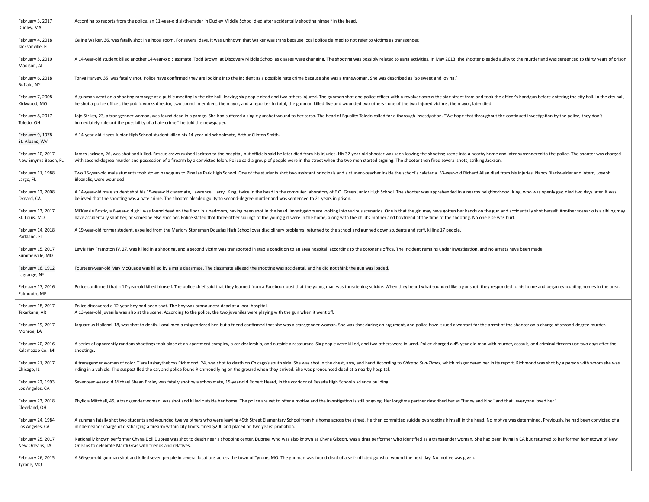| February 3, 2017<br>Dudley, MA            | According to reports from the police, an 11-year-old sixth-grader in Dudley Middle School died after accidentally shooting himself in the head.                                                                                                                                                                                                                                                                                                                  |
|-------------------------------------------|------------------------------------------------------------------------------------------------------------------------------------------------------------------------------------------------------------------------------------------------------------------------------------------------------------------------------------------------------------------------------------------------------------------------------------------------------------------|
| February 4, 2018<br>Jacksonville, FL      | Celine Walker, 36, was fatally shot in a hotel room. For several days, it was unknown that Walker was trans because local police claimed to not refer to victims as transgender.                                                                                                                                                                                                                                                                                 |
| February 5, 2010<br>Madison, AL           | A 14-year-old student killed another 14-year-old classmate, Todd Brown, at Discovery Middle School as classes were changing. The shooting was possibly related to gang activities. In May 2013, the shooter pleaded guilty to                                                                                                                                                                                                                                    |
| February 6, 2018<br>Buffalo, NY           | Tonya Harvey, 35, was fatally shot. Police have confirmed they are looking into the incident as a possible hate crime because she was a transwoman. She was described as "so sweet and loving."                                                                                                                                                                                                                                                                  |
| February 7, 2008<br>Kirkwood, MO          | A gunman went on a shooting rampage at a public meeting in the city hall, leaving six people dead and two others injured. The gunman shot one police officer with a revolver across the side street from and took the officer'<br>he shot a police officer, the public works director, two council members, the mayor, and a reporter. In total, the gunman killed five and wounded two others - one of the two injured victims, the mayor, later died.          |
| February 8, 2017<br>Toledo, OH            | Jojo Striker, 23, a transgender woman, was found dead in a garage. She had suffered a single gunshot wound to her torso. The head of Equality Toledo called for a thorough investigation. "We hope that throughout the continu<br>immediately rule out the possibility of a hate crime," he told the newspaper.                                                                                                                                                  |
| February 9, 1978<br>St. Albans, WV        | A 14-year-old Hayes Junior High School student killed his 14-year-old schoolmate, Arthur Clinton Smith.                                                                                                                                                                                                                                                                                                                                                          |
| February 10, 2017<br>New Smyrna Beach, FL | James Jackson, 26, was shot and killed. Rescue crews rushed Jackson to the hospital, but officials said he later died from his injuries. His 32-year-old shooter was seen leaving the shooting scene into a nearby home and la<br>with second-degree murder and possession of a firearm by a convicted felon. Police said a group of people were in the street when the two men started arguing. The shooter then fired several shots, striking Jackson.         |
| February 11, 1988<br>Largo, FL            | Two 15-year-old male students took stolen handguns to Pinellas Park High School. One of the students shot two assistant principals and a student-teacher inside the school's cafeteria. 53-year-old Richard Allen died from hi<br>Bloznalis, were wounded                                                                                                                                                                                                        |
| February 12, 2008<br>Oxnard, CA           | A 14-year-old male student shot his 15-year-old classmate, Lawrence "Larry" King, twice in the head in the computer laboratory of E.O. Green Junior High School. The shooter was apprehended in a nearby neighborhood. King, w<br>believed that the shooting was a hate crime. The shooter pleaded guilty to second-degree murder and was sentenced to 21 years in prison.                                                                                       |
| February 13, 2017<br>St. Louis, MO        | Mi'Kenzie Bostic, a 6-year-old girl, was found dead on the floor in a bedroom, having been shot in the head. Investigators are looking into various scenarios. One is that the girl may have gotten her hands on the gun and a<br>have accidentally shot her, or someone else shot her. Police stated that three other siblings of the young girl were in the home, along with the child's mother and boyfriend at the time of the shooting. No one else was hur |
| February 14, 2018<br>Parkland, FL         | A 19-year-old former student, expelled from the Marjory Stoneman Douglas High School over disciplinary problems, returned to the school and gunned down students and staff, killing 17 people.                                                                                                                                                                                                                                                                   |
| February 15, 2017<br>Summerville, MD      | Lewis Hay Frampton IV, 27, was killed in a shooting, and a second victim was transported in stable condition to an area hospital, according to the coroner's office. The incident remains under investigation, and no arrests                                                                                                                                                                                                                                    |
| February 16, 1912<br>Lagrange, NY         | Fourteen-year-old May McQuade was killed by a male classmate. The classmate alleged the shooting was accidental, and he did not think the gun was loaded.                                                                                                                                                                                                                                                                                                        |
| February 17, 2016<br>Falmouth, ME         | Police confirmed that a 17-year-old killed himself. The police chief said that they learned from a Facebook post that the young man was threatening suicide. When they heard what sounded like a gunshot, they responded to hi                                                                                                                                                                                                                                   |
| February 18, 2017<br>Texarkana, AR        | Police discovered a 12-year-boy had been shot. The boy was pronounced dead at a local hospital.<br>A 13-year-old juvenile was also at the scene. According to the police, the two juveniles were playing with the gun when it went off.                                                                                                                                                                                                                          |
| February 19, 2017<br>Monroe, LA           | Jaquarrius Holland, 18, was shot to death. Local media misgendered her, but a friend confirmed that she was a transgender woman. She was shot during an argument, and police have issued a warrant for the arrest of the shoot                                                                                                                                                                                                                                   |
| February 20, 2016<br>Kalamazoo Co., MI    | A series of apparently random shootings took place at an apartment complex, a car dealership, and outside a restaurant. Six people were killed, and two others were injured. Police charged a 45-year-old man with murder, ass<br>shootings.                                                                                                                                                                                                                     |
| February 21, 2017<br>Chicago, IL          | A transgender woman of color, Tiara Lashaytheboss Richmond, 24, was shot to death on Chicago's south side. She was shot in the chest, arm, and hand. According to Chicago Sun-Times, which misgendered her in its report, Rich<br>riding in a vehicle. The suspect fled the car, and police found Richmond lying on the ground when they arrived. She was pronounced dead at a nearby hospital.                                                                  |
| February 22, 1993<br>Los Angeles, CA      | Seventeen-year-old Michael Shean Ensley was fatally shot by a schoolmate, 15-year-old Robert Heard, in the corridor of Reseda High School's science building.                                                                                                                                                                                                                                                                                                    |
| February 23, 2018<br>Cleveland, OH        | Phylicia Mitchell, 45, a transgender woman, was shot and killed outside her home. The police are yet to offer a motive and the investigation is still ongoing. Her longtime partner described her as "funny and kind" and that                                                                                                                                                                                                                                   |
| February 24, 1984<br>Los Angeles, CA      | A gunman fatally shot two students and wounded twelve others who were leaving 49th Street Elementary School from his home across the street. He then committed suicide by shooting himself in the head. No motive was determin<br>misdemeanor charge of discharging a firearm within city limits, fined \$200 and placed on two years' probation.                                                                                                                |
| February 25, 2017<br>New Orleans, LA      | Nationally known performer Chyna Doll Dupree was shot to death near a shopping center. Dupree, who was also known as Chyna Gibson, was a drag performer who identified as a transgender woman. She had been living in CA but r<br>Orleans to celebrate Mardi Gras with friends and relatives.                                                                                                                                                                    |
| February 26, 2015<br>Tyrone, MO           | A 36-year-old gunman shot and killed seven people in several locations across the town of Tyrone, MO. The gunman was found dead of a self-inflicted gunshot wound the next day. No motive was given.                                                                                                                                                                                                                                                             |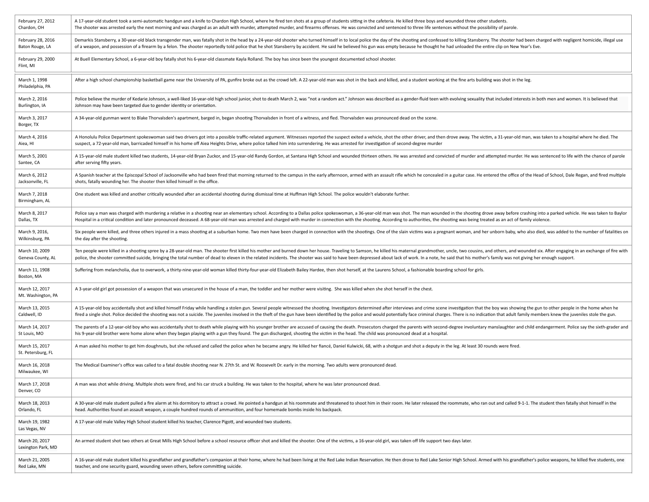| February 27, 2012                    | A 17-year-old student took a semi-automatic handgun and a knife to Chardon High School, where he fired ten shots at a group of students sitting in the cafeteria. He killed three boys and wounded three other students.       |
|--------------------------------------|--------------------------------------------------------------------------------------------------------------------------------------------------------------------------------------------------------------------------------|
| Chardon, OH                          | The shooter was arrested early the next morning and was charged as an adult with murder, attempted murder, and firearms offenses. He was convicted and sentenced to three life sentences without the possibility of parole.    |
| February 28, 2016                    | Demarkis Stansberry, a 30-year-old black transgender man, was fatally shot in the head by a 24-year-old shooter who turned himself in to local police the day of the shooting and confessed to killing Stansberry. The shooter |
| Baton Rouge, LA                      | of a weapon, and possession of a firearm by a felon. The shooter reportedly told police that he shot Stansberry by accident. He said he believed his gun was empty because he thought he had unloaded the entire clip on New Y |
| February 29, 2000<br>Flint, MI       | At Buell Elementary School, a 6-year-old boy fatally shot his 6-year-old classmate Kayla Rolland. The boy has since been the youngest documented school shooter.                                                               |
| March 1, 1998<br>Philadelphia, PA    | After a high school championship basketball game near the University of PA, gunfire broke out as the crowd left. A 22-year-old man was shot in the back and killed, and a student working at the fine arts building was shot i |
| March 2, 2016                        | Police believe the murder of Kedarie Johnson, a well-liked 16-year-old high school junior, shot to death March 2, was "not a random act." Johnson was described as a gender-fluid teen with evolving sexuality that included i |
| Burlington, IA                       | Johnson may have been targeted due to gender identity or orientation.                                                                                                                                                          |
| March 3, 2017<br>Borger, TX          | A 34-year-old gunman went to Blake Thorvalsden's apartment, barged in, began shooting Thorvalsden in front of a witness, and fled. Thorvalsden was pronounced dead on the scene.                                               |
| March 4, 2016                        | A Honolulu Police Department spokeswoman said two drivers got into a possible traffic-related argument. Witnesses reported the suspect exited a vehicle, shot the other driver, and then drove away. The victim, a 31-year-old |
| Aiea, HI                             | suspect, a 72-year-old man, barricaded himself in his home off Aiea Heights Drive, where police talked him into surrendering. He was arrested for investigation of second-degree murder                                        |
| March 5, 2001                        | A 15-year-old male student killed two students, 14-year-old Bryan Zuckor, and 15-year-old Randy Gordon, at Santana High School and wounded thirteen others. He was arrested and convicted of murder and attempted murder. He w |
| Santee, CA                           | after serving fifty years.                                                                                                                                                                                                     |
| March 6, 2012                        | A Spanish teacher at the Episcopal School of Jacksonville who had been fired that morning returned to the campus in the early afternoon, armed with an assault rifle which he concealed in a guitar case. He entered the offic |
| Jacksonville, FL                     | shots, fatally wounding her. The shooter then killed himself in the office.                                                                                                                                                    |
| March 7, 2018<br>Birmingham, AL      | One student was killed and another critically wounded after an accidental shooting during dismissal time at Huffman High School. The police wouldn't elaborate further.                                                        |
| March 8, 2017                        | Police say a man was charged with murdering a relative in a shooting near an elementary school. According to a Dallas police spokeswoman, a 36-year-old man was shot. The man wounded in the shooting drove away before crashi |
| Dallas, TX                           | Hospital in a critical condition and later pronounced deceased. A 68-year-old man was arrested and charged with murder in connection with the shooting. According to authorities, the shooting was being treated as an act of  |
| March 9, 2016,                       | Six people were killed, and three others injured in a mass shooting at a suburban home. Two men have been charged in connection with the shootings. One of the slain victims was a pregnant woman, and her unborn baby, who al |
| Wilkinsburg, PA                      | the day after the shooting.                                                                                                                                                                                                    |
| March 10, 2009                       | Ten people were killed in a shooting spree by a 28-year-old man. The shooter first killed his mother and burned down her house. Traveling to Samson, he killed his maternal grandmother, uncle, two cousins, and others, and w |
| Geneva County, AL                    | police, the shooter committed suicide, bringing the total number of dead to eleven in the related incidents. The shooter was said to have been depressed about lack of work. In a note, he said that his mother's family was n |
| March 11, 1908<br>Boston, MA         | Suffering from melancholia, due to overwork, a thirty-nine-year-old woman killed thirty-four-year-old Elizabeth Bailey Hardee, then shot herself, at the Laurens School, a fashionable boarding school for girls.              |
| March 12, 2017<br>Mt. Washington, PA | A 3-year-old girl got possession of a weapon that was unsecured in the house of a man, the toddler and her mother were visiting. She was killed when she shot herself in the chest.                                            |
| March 13, 2015                       | A 15-year-old boy accidentally shot and killed himself Friday while handling a stolen gun. Several people witnessed the shooting. Investigators determined after interviews and crime scene investigation that the boy was sho |
| Caldwell, ID                         | fired a single shot. Police decided the shooting was not a suicide. The juveniles involved in the theft of the gun have been identified by the police and would potentially face criminal charges. There is no indication that |
| March 14, 2017                       | The parents of a 12-year-old boy who was accidentally shot to death while playing with his younger brother are accused of causing the death. Prosecutors charged the parents with second-degree involuntary manslaughter and c |
| St Louis, MO                         | his 9-year-old brother were home alone when they began playing with a gun they found. The gun discharged, shooting the victim in the head. The child was pronounced dead at a hospital.                                        |
| March 15, 2017<br>St. Petersburg, FL | A man asked his mother to get him doughnuts, but she refused and called the police when he became angry. He killed her fiancé, Daniel Kulwicki, 68, with a shotgun and shot a deputy in the leg. At least 30 rounds were fired |
| March 16, 2018<br>Milwaukee, WI      | The Medical Examiner's office was called to a fatal double shooting near N. 27th St. and W. Roosevelt Dr. early in the morning. Two adults were pronounced dead.                                                               |
| March 17, 2018<br>Denver, CO         | A man was shot while driving. Multiple shots were fired, and his car struck a building. He was taken to the hospital, where he was later pronounced dead.                                                                      |
| March 18, 2013                       | A 30-year-old male student pulled a fire alarm at his dormitory to attract a crowd. He pointed a handgun at his roommate and threatened to shoot him in their room. He later released the roommate, who ran out and called 9-1 |
| Orlando, FL                          | head. Authorities found an assault weapon, a couple hundred rounds of ammunition, and four homemade bombs inside his backpack.                                                                                                 |
| March 19, 1982<br>Las Vegas, NV      | A 17-year-old male Valley High School student killed his teacher, Clarence Pigott, and wounded two students.                                                                                                                   |
| March 20, 2017<br>Lexington Park, MD | An armed student shot two others at Great Mills High School before a school resource officer shot and killed the shooter. One of the victims, a 16-year-old girl, was taken off life support two days later.                   |
| March 21, 2005                       | A 16-year-old male student killed his grandfather and grandfather's companion at their home, where he had been living at the Red Lake Indian Reservation. He then drove to Red Lake Senior High School. Armed with his grandfa |
| Red Lake, MN                         | teacher, and one security guard, wounding seven others, before committing suicide.                                                                                                                                             |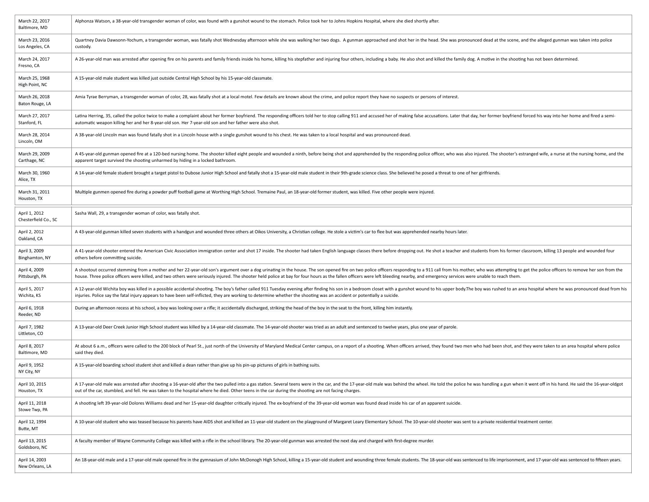| March 22, 2017<br>Baltimore, MD       | Alphonza Watson, a 38-year-old transgender woman of color, was found with a gunshot wound to the stomach. Police took her to Johns Hopkins Hospital, where she died shortly after.                                                                                                                                                                                                                                                                               |
|---------------------------------------|------------------------------------------------------------------------------------------------------------------------------------------------------------------------------------------------------------------------------------------------------------------------------------------------------------------------------------------------------------------------------------------------------------------------------------------------------------------|
| March 23, 2016<br>Los Angeles, CA     | Quartney Davia Dawsonn-Yochum, a transgender woman, was fatally shot Wednesday afternoon while she was walking her two dogs. A gunman approached and shot her in the head. She was pronounced dead at the scene, and the alleg<br>custody.                                                                                                                                                                                                                       |
| March 24, 2017<br>Fresno, CA          | A 26-year-old man was arrested after opening fire on his parents and family friends inside his home, killing his stepfather and injuring four others, including a baby. He also shot and killed the family dog. A motive in th                                                                                                                                                                                                                                   |
| March 25, 1968<br>High Point, NC      | A 15-year-old male student was killed just outside Central High School by his 15-year-old classmate.                                                                                                                                                                                                                                                                                                                                                             |
| March 26, 2018<br>Baton Rouge, LA     | Amia Tyrae Berryman, a transgender woman of color, 28, was fatally shot at a local motel. Few details are known about the crime, and police report they have no suspects or persons of interest.                                                                                                                                                                                                                                                                 |
| March 27, 2017<br>Stanford, FL        | Latina Herring, 35, called the police twice to make a complaint about her former boyfriend. The responding officers told her to stop calling 911 and accused her of making false accusations. Later that day, her former boyfr<br>automatic weapon killing her and her 8-year-old son. Her 7-year-old son and her father were also shot.                                                                                                                         |
| March 28, 2014<br>Lincoln, OM         | A 38-year-old Lincoln man was found fatally shot in a Lincoln house with a single gunshot wound to his chest. He was taken to a local hospital and was pronounced dead.                                                                                                                                                                                                                                                                                          |
| March 29, 2009<br>Carthage, NC        | A 45-year-old gunman opened fire at a 120-bed nursing home. The shooter killed eight people and wounded a ninth, before being shot and apprehended by the responding police officer, who was also injured. The shooter's estra<br>apparent target survived the shooting unharmed by hiding in a locked bathroom.                                                                                                                                                 |
| March 30, 1960<br>Alice, TX           | A 14-year-old female student brought a target pistol to Dubose Junior High School and fatally shot a 15-year-old male student in their 9th-grade science class. She believed he posed a threat to one of her girlfriends.                                                                                                                                                                                                                                        |
| March 31, 2011<br>Houston, TX         | Multiple gunmen opened fire during a powder puff football game at Worthing High School. Tremaine Paul, an 18-year-old former student, was killed. Five other people were injured.                                                                                                                                                                                                                                                                                |
| April 1, 2012<br>Chesterfield Co., SC | Sasha Wall, 29, a transgender woman of color, was fatally shot.                                                                                                                                                                                                                                                                                                                                                                                                  |
| April 2, 2012<br>Oakland, CA          | A 43-year-old gunman killed seven students with a handgun and wounded three others at Oikos University, a Christian college. He stole a victim's car to flee but was apprehended nearby hours later.                                                                                                                                                                                                                                                             |
| April 3, 2009<br>Binghamton, NY       | A 41-year-old shooter entered the American Civic Association immigration center and shot 17 inside. The shooter had taken English language classes there before dropping out. He shot a teacher and students from his former c<br>others before committing suicide.                                                                                                                                                                                              |
| April 4, 2009<br>Pittsburgh, PA       | A shootout occurred stemming from a mother and her 22-year-old son's argument over a dog urinating in the house. The son opened fire on two police officers responding to a 911 call from his mother, who was attempting to ge<br>house. Three police officers were killed, and two others were seriously injured. The shooter held police at bay for four hours as the fallen officers were left bleeding nearby, and emergency services were unable to reach t |
| April 5, 2017<br>Wichita, KS          | A 12-year-old Wichita boy was killed in a possible accidental shooting. The boy's father called 911 Tuesday evening after finding his son in a bedroom closet with a gunshot wound to his upper body. The boy was rushed to an<br>injuries. Police say the fatal injury appears to have been self-inflicted, they are working to determine whether the shooting was an accident or potentially a suicide.                                                        |
| April 6, 1918<br>Reeder, ND           | During an afternoon recess at his school, a boy was looking over a rifle; it accidentally discharged, striking the head of the boy in the seat to the front, killing him instantly.                                                                                                                                                                                                                                                                              |
| April 7, 1982<br>Littleton, CO        | A 13-year-old Deer Creek Junior High School student was killed by a 14-year-old classmate. The 14-year-old shooter was tried as an adult and sentenced to twelve years, plus one year of parole.                                                                                                                                                                                                                                                                 |
| April 8, 2017<br>Baltimore, MD        | At about 6 a.m., officers were called to the 200 block of Pearl St., just north of the University of Maryland Medical Center campus, on a report of a shooting. When officers arrived, they found two men who had been shot, a<br>said they died.                                                                                                                                                                                                                |
| April 9, 1952<br>NY City, NY          | A 15-year-old boarding school student shot and killed a dean rather than give up his pin-up pictures of girls in bathing suits.                                                                                                                                                                                                                                                                                                                                  |
| April 10, 2015<br>Houston, TX         | A 17-year-old male was arrested after shooting a 16-year-old after the two pulled into a gas station. Several teens were in the car, and the 17-year-old male was behind the wheel. He told the police he was handling a gun w<br>out of the car, stumbled, and fell. He was taken to the hospital where he died. Other teens in the car during the shooting are not facing charges.                                                                             |
| April 11, 2018<br>Stowe Twp, PA       | A shooting left 39-year-old Dolores Williams dead and her 15-year-old daughter critically injured. The ex-boyfriend of the 39-year-old woman was found dead inside his car of an apparent suicide.                                                                                                                                                                                                                                                               |
| April 12, 1994<br>Butte, MT           | A 10-year-old student who was teased because his parents have AIDS shot and killed an 11-year-old student on the playground of Margaret Leary Elementary School. The 10-year-old shooter was sent to a private residential tre                                                                                                                                                                                                                                   |
| April 13, 2015<br>Goldsboro, NC       | A faculty member of Wayne Community College was killed with a rifle in the school library. The 20-year-old gunman was arrested the next day and charged with first-degree murder.                                                                                                                                                                                                                                                                                |
| April 14, 2003<br>New Orleans, LA     | An 18-year-old male and a 17-year-old male opened fire in the gymnasium of John McDonogh High School, killing a 15-year-old student and wounding three female students. The 18-year-old was sentenced to life imprisonment, an                                                                                                                                                                                                                                   |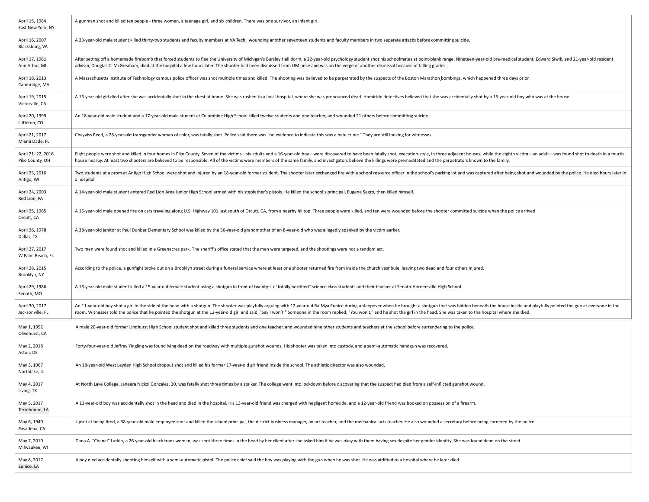| April 15, 1984<br>East New York, NY  | A gunman shot and killed ten people - three women, a teenage girl, and six children. There was one survivor, an infant girl.                                                                                                                                                                                                                                                                                                                                    |
|--------------------------------------|-----------------------------------------------------------------------------------------------------------------------------------------------------------------------------------------------------------------------------------------------------------------------------------------------------------------------------------------------------------------------------------------------------------------------------------------------------------------|
| April 16, 2007<br>Blacksburg, VA     | A 23-year-old male student killed thirty-two students and faculty members at VA Tech, wounding another seventeen students and faculty members in two separate attacks before committing suicide.                                                                                                                                                                                                                                                                |
| April 17, 1981<br>Ann Arbor, MI      | After setting off a homemade firebomb that forced students to flee the University of Michigan's Bursley Hall dorm, a 22-year-old psychology student shot his schoolmates at point-blank range. Nineteen-year-old pre-medical s<br>advisor, Douglas C. McGreaham, died at the hospital a few hours later. The shooter had been dismissed from UM once and was on the verge of another dismissal because of falling grades.                                       |
| April 18, 2013<br>Cambridge, MA      | A Massachusetts Institute of Technology campus police officer was shot multiple times and killed. The shooting was believed to be perpetrated by the suspects of the Boston Marathon bombings, which happened three days prior                                                                                                                                                                                                                                  |
| April 19, 2015<br>Victorville, CA    | A 16-year-old girl died after she was accidentally shot in the chest at home. She was rushed to a local hospital, where she was pronounced dead. Homicide detectives believed that she was accidentally shot by a 15-year-old                                                                                                                                                                                                                                   |
| April 20, 1999<br>Littleton, CO      | An 18-year-old male student and a 17-year-old male student at Columbine High School killed twelve students and one teacher, and wounded 21 others before committing suicide.                                                                                                                                                                                                                                                                                    |
| April 21, 2017<br>Miami Dade, FL     | Chayviss Reed, a 28-year-old transgender woman of color, was fatally shot. Police said there was "no evidence to indicate this was a hate crime." They are still looking for witnesses.                                                                                                                                                                                                                                                                         |
| April 21-22, 2016<br>Pike County, OH | Eight people were shot and killed in four homes in Pike County. Seven of the victims—six adults and a 16-year-old boy—were discovered to have been fatally shot, execution-style, in three adjacent houses, while the eighth v<br>house nearby. At least two shooters are believed to be responsible. All of the victims were members of the same family, and investigators believe the killings were premeditated and the perpetrators known to the family.    |
| April 23, 2016<br>Antigo, WI         | Two students at a prom at Antigo High School were shot and injured by an 18-year-old former student. The shooter later exchanged fire with a school resource officer in the school's parking lot and was captured after being<br>a hospital.                                                                                                                                                                                                                    |
| April 24, 2003<br>Red Lion, PA       | A 14-year-old male student entered Red Lion Area Junior High School armed with his stepfather's pistols. He killed the school's principal, Eugene Segro, then killed himself.                                                                                                                                                                                                                                                                                   |
| April 25, 1965<br>Orcutt, CA         | A 16-year-old male opened fire on cars traveling along U.S. Highway 101 just south of Orcutt, CA, from a nearby hilltop. Three people were killed, and ten were wounded before the shooter committed suicide when the police a                                                                                                                                                                                                                                  |
| April 26, 1978<br>Dallas, TX         | A 38-year-old janitor at Paul Dunbar Elementary School was killed by the 56-year-old grandmother of an 8-year-old who was allegedly spanked by the victim earlier.                                                                                                                                                                                                                                                                                              |
| April 27, 2017<br>W Palm Beach, FL   | Two men were found shot and killed in a Greenacres park. The sheriff's office stated that the men were targeted, and the shootings were not a random act.                                                                                                                                                                                                                                                                                                       |
| April 28, 2015<br>Brooklyn, NY       | According to the police, a gunfight broke out on a Brooklyn street during a funeral service where at least one shooter returned fire from inside the church vestibule, leaving two dead and four others injured.                                                                                                                                                                                                                                                |
| April 29, 1986<br>Senath, MO         | A 16-year-old male student killed a 15-year-old female student using a shotgun in front of twenty-six "totally horrified" science class students and their teacher at Senath-Hornersville High School.                                                                                                                                                                                                                                                          |
| April 30, 2017<br>Jacksonville, FL   | An 11-year-old boy shot a girl in the side of the head with a shotgun. The shooter was playfully arguing with 12-year-old Ra'Mya Eunice during a sleepover when he brought a shotgun that was hidden beneath the house inside<br>room. Witnesses told the police that he pointed the shotgun at the 12-year-old girl and said, "Say I won't." Someone in the room replied, "You won't," and he shot the girl in the head. She was taken to the hospital where s |
| May 1, 1992<br>Olivehurst, CA        | A male 20-year-old former Lindhurst High School student shot and killed three students and one teacher, and wounded nine other students and teachers at the school before surrendering to the police.                                                                                                                                                                                                                                                           |
| May 2, 2018<br>Aston, DE             | Forty-four-year-old Jeffrey Yingling was found lying dead on the roadway with multiple gunshot wounds. His shooter was taken into custody, and a semi-automatic handgun was recovered.                                                                                                                                                                                                                                                                          |
| May 3, 1967<br>Northlake, IL         | An 18-year-old West Leyden High School dropout shot and killed his former 17-year-old girlfriend inside the school. The athletic director was also wounded.                                                                                                                                                                                                                                                                                                     |
| May 4, 2017<br>Irving, TX            | At North Lake College, Janeera Nickol Gonzalez, 20, was fatally shot three times by a stalker. The college went into lockdown before discovering that the suspect had died from a self-inflicted gunshot wound.                                                                                                                                                                                                                                                 |
| May 5, 2017<br>Terrebonne, LA        | A 13-year-old boy was accidentally shot in the head and died in the hospital. His 13-year-old friend was charged with negligent homicide, and a 12-year-old friend was booked on possession of a firearm.                                                                                                                                                                                                                                                       |
| May 6, 1940<br>Pasadena, CA          | Upset at being fired, a 38-year-old male employee shot and killed the school principal, the district business manager, an art teacher, and the mechanical arts teacher. He also wounded a secretary before being cornered by t                                                                                                                                                                                                                                  |
| May 7, 2010<br>Milwaukee, WI         | Dana A. "Chanel" Larkin, a 26-year-old black trans woman, was shot three times in the head by her client after she asked him if he was okay with them having sex despite her gender identity. She was found dead on the street                                                                                                                                                                                                                                  |
| May 8, 2017<br>Eunice, LA            | A boy died accidentally shooting himself with a semi-automatic pistol. The police chief said the boy was playing with the gun when he was shot. He was airlifted to a hospital where he later died.                                                                                                                                                                                                                                                             |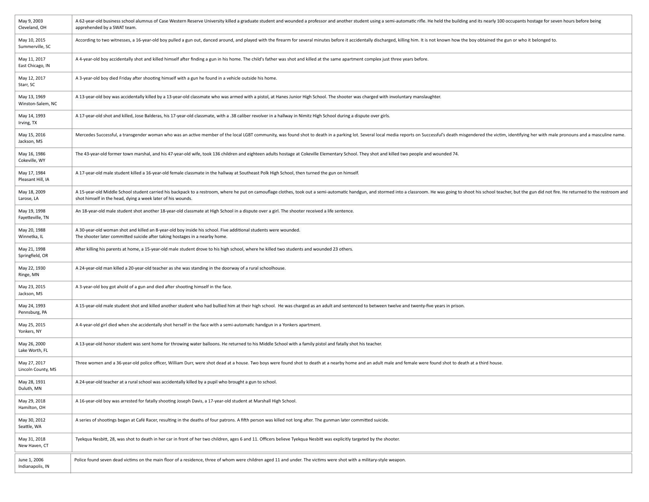| May 9, 2003<br>Cleveland, OH       | A 62-year-old business school alumnus of Case Western Reserve University killed a graduate student and wounded a professor and another student using a semi-automatic rifle. He held the building and its nearly 100 occupants<br>apprehended by a SWAT team.                                 |
|------------------------------------|-----------------------------------------------------------------------------------------------------------------------------------------------------------------------------------------------------------------------------------------------------------------------------------------------|
| May 10, 2015<br>Summerville, SC    | According to two witnesses, a 16-year-old boy pulled a gun out, danced around, and played with the firearm for several minutes before it accidentally discharged, killing him. It is not known how the boy obtained the gun or                                                                |
| May 11, 2017<br>East Chicago, IN   | A 4-year-old boy accidentally shot and killed himself after finding a gun in his home. The child's father was shot and killed at the same apartment complex just three years before.                                                                                                          |
| May 12, 2017<br>Starr, SC          | A 3-year-old boy died Friday after shooting himself with a gun he found in a vehicle outside his home.                                                                                                                                                                                        |
| May 13, 1969<br>Winston-Salem, NC  | A 13-year-old boy was accidentally killed by a 13-year-old classmate who was armed with a pistol, at Hanes Junior High School. The shooter was charged with involuntary manslaughter.                                                                                                         |
| May 14, 1993<br>Irving, TX         | A 17-year-old shot and killed, Jose Balderas, his 17-year-old classmate, with a .38 caliber revolver in a hallway in Nimitz High School during a dispute over girls.                                                                                                                          |
| May 15, 2016<br>Jackson, MS        | Mercedes Successful, a transgender woman who was an active member of the local LGBT community, was found shot to death in a parking lot. Several local media reports on Successful's death misgendered the victim, identifying                                                                |
| May 16, 1986<br>Cokeville, WY      | The 43-year-old former town marshal, and his 47-year-old wife, took 136 children and eighteen adults hostage at Cokeville Elementary School. They shot and killed two people and wounded 74.                                                                                                  |
| May 17, 1984<br>Pleasant Hill, IA  | A 17-year-old male student killed a 16-year-old female classmate in the hallway at Southeast Polk High School, then turned the gun on himself.                                                                                                                                                |
| May 18, 2009<br>Larose, LA         | A 15-year-old Middle School student carried his backpack to a restroom, where he put on camouflage clothes, took out a semi-automatic handgun, and stormed into a classroom. He was going to shoot his school teacher, but the<br>shot himself in the head, dying a week later of his wounds. |
| May 19, 1998<br>Fayetteville, TN   | An 18-year-old male student shot another 18-year-old classmate at High School in a dispute over a girl. The shooter received a life sentence.                                                                                                                                                 |
| May 20, 1988<br>Winnetka, IL       | A 30-year-old woman shot and killed an 8-year-old boy inside his school. Five additional students were wounded.<br>The shooter later committed suicide after taking hostages in a nearby home.                                                                                                |
| May 21, 1998<br>Springfield, OR    | After killing his parents at home, a 15-year-old male student drove to his high school, where he killed two students and wounded 23 others.                                                                                                                                                   |
| May 22, 1930<br>Ringe, MN          | A 24-year-old man killed a 20-year-old teacher as she was standing in the doorway of a rural schoolhouse.                                                                                                                                                                                     |
| May 23, 2015<br>Jackson, MS        | A 3-year-old boy got ahold of a gun and died after shooting himself in the face.                                                                                                                                                                                                              |
| May 24, 1993<br>Pennsburg, PA      | A 15-year-old male student shot and killed another student who had bullied him at their high school. He was charged as an adult and sentenced to between twelve and twenty-five years in prison.                                                                                              |
| May 25, 2015<br>Yonkers, NY        | A 4-year-old girl died when she accidentally shot herself in the face with a semi-automatic handgun in a Yonkers apartment.                                                                                                                                                                   |
| May 26, 2000<br>Lake Worth, FL     | A 13-year-old honor student was sent home for throwing water balloons. He returned to his Middle School with a family pistol and fatally shot his teacher.                                                                                                                                    |
| May 27, 2017<br>Lincoln County, MS | Three women and a 36-year-old police officer, William Durr, were shot dead at a house. Two boys were found shot to death at a nearby home and an adult male and female were found shot to death at a third house.                                                                             |
| May 28, 1931<br>Duluth, MN         | A 24-year-old teacher at a rural school was accidentally killed by a pupil who brought a gun to school.                                                                                                                                                                                       |
| May 29, 2018<br>Hamilton, OH       | A 16-year-old boy was arrested for fatally shooting Joseph Davis, a 17-year-old student at Marshall High School.                                                                                                                                                                              |
| May 30, 2012<br>Seattle, WA        | A series of shootings began at Café Racer, resulting in the deaths of four patrons. A fifth person was killed not long after. The gunman later committed suicide.                                                                                                                             |
| May 31, 2018<br>New Haven, CT      | Tyekqua Nesbitt, 28, was shot to death in her car in front of her two children, ages 6 and 11. Officers believe Tyekqua Nesbitt was explicitly targeted by the shooter.                                                                                                                       |
| June 1, 2006<br>Indianapolis, IN   | Police found seven dead victims on the main floor of a residence, three of whom were children aged 11 and under. The victims were shot with a military-style weapon.                                                                                                                          |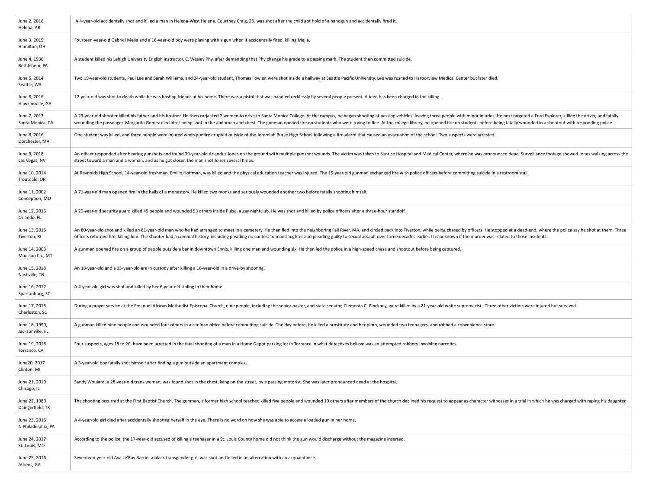| June 2, 2016<br>Helena, AR          | A 4-year-old accidentally shot and killed a man in Helena-West Helena. Courtney Craig, 29, was shot after the child got hold of a handgun and accidentally fired it.                                                                                                                                                                                                                                                                                             |
|-------------------------------------|------------------------------------------------------------------------------------------------------------------------------------------------------------------------------------------------------------------------------------------------------------------------------------------------------------------------------------------------------------------------------------------------------------------------------------------------------------------|
| June 3, 2015<br>Hamilton, OH        | Fourteen-year-old Gabriel Mejia and a 16-year-old boy were playing with a gun when it accidentally fired, killing Mejia.                                                                                                                                                                                                                                                                                                                                         |
| June 4, 1936<br>Bethlehem, PA       | A student killed his Lehigh University English instructor, C. Wesley Phy, after demanding that Phy change his grade to a passing mark. The student then committed suicide.                                                                                                                                                                                                                                                                                       |
| June 5, 2014<br>Seattle, WA         | Two 19-year-old students, Paul Lee and Sarah Williams, and 24-year-old student, Thomas Fowler, were shot inside a hallway at Seattle Pacific University. Lee was rushed to Harborview Medical Center but later died.                                                                                                                                                                                                                                             |
| June 6, 2016<br>Hawkinsville, GA    | 17-year-old was shot to death while he was hosting friends at his home. There was a pistol that was handled recklessly by several people present. A teen has been charged in the killing.                                                                                                                                                                                                                                                                        |
| June 7, 2013<br>Santa Monica, CA    | A 23-year-old shooter killed his father and his brother. He then carjacked 2 women to drive to Santa Monica College. At the campus, he began shooting at passing vehicles, leaving three people with minor injuries. He next t<br>wounding the passenger. Margarita Gomez died after being shot in the abdomen and chest. The gunman opened fire on students who were trying to flee. At the college library, he opened fire on students before being fatally wo |
| June 8, 2016<br>Dorchester, MA      | One student was killed, and three people were injured when gunfire erupted outside of the Jeremiah Burke High School following a fire-alarm that caused an evacuation of the school. Two suspects were arrested.                                                                                                                                                                                                                                                 |
| June 9, 2018<br>Las Vegas, NV       | An officer responded after hearing gunshots and found 39-year-old Arlandus Jones on the ground with multiple gunshot wounds. The victim was taken to Sunrise Hospital and Medical Center, where he was pronounced dead. Survei<br>street toward a man and a woman, and as he got closer, the man shot Jones several times.                                                                                                                                       |
| June 10, 2014<br>Troutdale, OR      | At Reynolds High School, 14-year-old freshman, Emilio Hoffman, was killed and the physical education teacher was injured. The 15-year-old gunman exchanged fire with police officers before committing suicide in a restroom s                                                                                                                                                                                                                                   |
| June 11, 2002<br>Conception, MO     | A 71-year-old man opened fire in the halls of a monastery. He killed two monks and seriously wounded another two before fatally shooting himself.                                                                                                                                                                                                                                                                                                                |
| June 12, 2016<br>Orlando, FL        | A 29-year-old security guard killed 49 people and wounded 53 others inside Pulse, a gay nightclub. He was shot and killed by police officers after a three-hour standoff.                                                                                                                                                                                                                                                                                        |
| June 13, 2016<br>Tiverton, RI       | An 80-year-old shot and killed an 81-year-old man who he had arranged to meet in a cemetery. He then fled into the neighboring Fall River, MA, and circled back into Tiverton, while being chased by officers. He stopped at a<br>officers returned fire, killing him. The shooter had a criminal history, including pleading no contest to manslaughter and pleading guilty to sexual assault over three decades earlier. It is unknown if the murder was relat |
| June 14, 2003<br>Madison Co., MT    | A gunman opened fire on a group of people outside a bar in downtown Ennis, killing one man and wounding six. He then led the police in a high-speed chase and shootout before being captured.                                                                                                                                                                                                                                                                    |
| June 15, 2018<br>Nashville, TN      | An 18-year-old and a 15-year-old are in custody after killing a 16-year-old in a drive-by shooting.                                                                                                                                                                                                                                                                                                                                                              |
| June 16, 2017<br>Spartanburg, SC    | A 4-year-old girl was shot and killed by her 6-year-old sibling in their home.                                                                                                                                                                                                                                                                                                                                                                                   |
| June 17, 2015<br>Charleston, SC     | During a prayer service at the Emanuel African Methodist Episcopal Church, nine people, including the senior pastor, and state senator, Clementa C. Pinckney, were killed by a 21-year-old white supremacist. Three other vict                                                                                                                                                                                                                                   |
| June 18, 1990,<br>Jacksonville, FL  | A gunman killed nine people and wounded four others in a car loan office before committing suicide. The day before, he killed a prostitute and her pimp, wounded two teenagers, and robbed a convenience store.                                                                                                                                                                                                                                                  |
| June 19, 2018<br>Torrance, CA       | Four suspects, ages 18 to 26, have been arrested in the fatal shooting of a man in a Home Depot parking lot in Torrance in what detectives believe was an attempted robbery involving narcotics.                                                                                                                                                                                                                                                                 |
| June20, 2017<br>Clinton, MI         | A 3-year-old boy fatally shot himself after finding a gun outside an apartment complex.                                                                                                                                                                                                                                                                                                                                                                          |
| June 21, 2010<br>Chicago, IL        | Sandy Woulard, a 28-year-old trans woman, was found shot in the chest, lying on the street, by a passing motorist. She was later pronounced dead at the hospital.                                                                                                                                                                                                                                                                                                |
| June 22, 1980<br>Daingerfield, TX   | The shooting occurred at the First Baptist Church. The gunman, a former high school teacher, killed five people and wounded 10 others after members of the church declined his request to appear as character witnesses in a t                                                                                                                                                                                                                                   |
| June 23, 2016<br>N Philadelphia, PA | A 4-year-old girl died after accidentally shooting herself in the eye. There is no word on how she was able to access a loaded gun in her home.                                                                                                                                                                                                                                                                                                                  |
| June 24, 2017<br>St. Louis, MO      | According to the police, the 17-year-old accused of killing a teenager in a St. Louis County home did not think the gun would discharge without the magazine inserted.                                                                                                                                                                                                                                                                                           |
| June 25, 2016<br>Athens, GA         | Seventeen-year-old Ava Le'Ray Barrin, a black transgender girl, was shot and killed in an altercation with an acquaintance.                                                                                                                                                                                                                                                                                                                                      |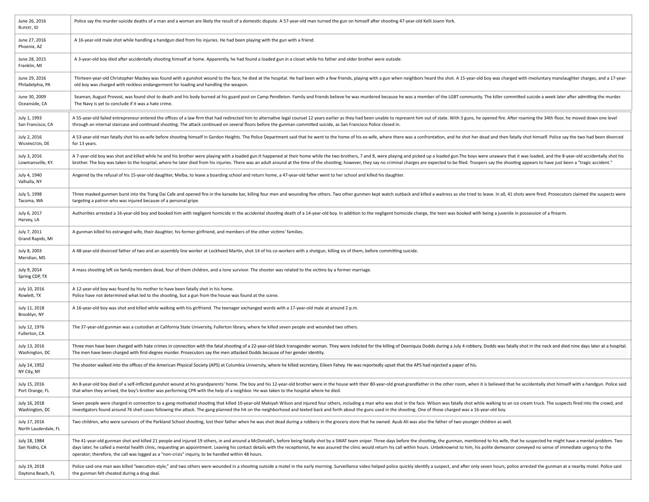| June 26, 2016<br>RUPERT, ID           | Police say the murder-suicide deaths of a man and a woman are likely the result of a domestic dispute. A 57-year-old man turned the gun on himself after shooting 47-year-old Kelli Joann York.                                                                                                                                                                                                                                                                                                                                                                        |
|---------------------------------------|------------------------------------------------------------------------------------------------------------------------------------------------------------------------------------------------------------------------------------------------------------------------------------------------------------------------------------------------------------------------------------------------------------------------------------------------------------------------------------------------------------------------------------------------------------------------|
| June 27, 2016<br>Phoenix, AZ          | A 16-year-old male shot while handling a handgun died from his injuries. He had been playing with the gun with a friend.                                                                                                                                                                                                                                                                                                                                                                                                                                               |
| June 28, 2015<br>Franklin, MI         | A 3-year-old boy died after accidentally shooting himself at home. Apparently, he had found a loaded gun in a closet while his father and older brother were outside.                                                                                                                                                                                                                                                                                                                                                                                                  |
| June 29, 2016<br>Philadelphia, PA     | Thirteen-year-old Christopher Mackey was found with a gunshot wound to the face; he died at the hospital. He had been with a few friends, playing with a gun when neighbors heard the shot. A 15-year-old boy was charged with<br>old boy was charged with reckless endangerment for loading and handling the weapon.                                                                                                                                                                                                                                                  |
| June 30, 2009<br>Oceanside, CA        | Seaman, August Provost, was found shot to death and his body burned at his guard post on Camp Pendleton. Family and friends believe he was murdered because he was a member of the LGBT community. The killer committed suicid<br>The Navy is yet to conclude if it was a hate crime.                                                                                                                                                                                                                                                                                  |
| July 1, 1993<br>San Francisco, CA     | A 55-year-old failed entrepreneur entered the offices of a law firm that had redirected him to alternative legal counsel 12 years earlier as they had been unable to represent him out of state. With 3 guns, he opened fire.<br>through an internal staircase and continued shooting. The attack continued on several floors before the gunman committed suicide, as San Francisco Police closed in.                                                                                                                                                                  |
| July 2, 2016<br><b>WILMINGTON, DE</b> | A 53-year-old man fatally shot his ex-wife before shooting himself in Gordon Heights. The Police Department said that he went to the home of his ex-wife, where there was a confrontation, and he shot her dead and then fatal<br>for 13 years.                                                                                                                                                                                                                                                                                                                        |
| July 3, 2016<br>Lowmansville, KY.     | A 7-year-old boy was shot and killed while he and his brother were playing with a loaded gun.It happened at their home while the two brothers, 7 and 8, were playing and picked up a loaded gun.The boys were unaware that it<br>brother. The boy was taken to the hospital, where he later died from his injuries. There was an adult around at the time of the shooting; however, they say no criminal charges are expected to be filed. Troopers say the sho                                                                                                        |
| July 4, 1940<br>Valhalla, NY          | Angered by the refusal of his 15-year-old daughter, Melba, to leave a boarding school and return home, a 47-year-old father went to her school and killed his daughter.                                                                                                                                                                                                                                                                                                                                                                                                |
| July 5, 1998<br>Tacoma, WA            | Three masked gunmen burst into the Trang Dai Cafe and opened fire in the karaoke bar, killing four men and wounding five others. Two other gunmen kept watch outback and killed a waitress as she tried to leave. In all, 41 s<br>targeting a patron who was injured because of a personal gripe.                                                                                                                                                                                                                                                                      |
| July 6, 2017<br>Harvey, LA            | Authorities arrested a 16-year-old boy and booked him with negligent homicide in the accidental shooting death of a 14-year-old boy. In addition to the negligent homicide charge, the teen was booked with being a juvenile i                                                                                                                                                                                                                                                                                                                                         |
| July 7, 2011<br>Grand Rapids, MI      | A gunman killed his estranged wife, their daughter, his former girlfriend, and members of the other victims' families.                                                                                                                                                                                                                                                                                                                                                                                                                                                 |
| July 8, 2003<br>Meridian, MS          | A 48-year-old divorced father of two and an assembly line worker at Lockheed Martin, shot 14 of his co-workers with a shotgun, killing six of them, before committing suicide.                                                                                                                                                                                                                                                                                                                                                                                         |
| July 9, 2014<br>Spring CDP, TX        | A mass shooting left six family members dead, four of them children, and a lone survivor. The shooter was related to the victims by a former marriage.                                                                                                                                                                                                                                                                                                                                                                                                                 |
| July 10, 2016<br>Rowlett, TX          | A 12-year-old boy was found by his mother to have been fatally shot in his home.<br>Police have not determined what led to the shooting, but a gun from the house was found at the scene.                                                                                                                                                                                                                                                                                                                                                                              |
| July 11, 2018<br>Brooklyn, NY         | A 16-year-old boy was shot and killed while walking with his girlfriend. The teenager exchanged words with a 17-year-old male at around 2 p.m.                                                                                                                                                                                                                                                                                                                                                                                                                         |
| July 12, 1976<br>Fullerton, CA        | The 37-year-old gunman was a custodian at California State University, Fullerton library, where he killed seven people and wounded two others.                                                                                                                                                                                                                                                                                                                                                                                                                         |
| July 13, 2016<br>Washington, DC       | Three men have been charged with hate crimes in connection with the fatal shooting of a 22-year-old black transgender woman. They were indicted for the killing of Deeniquia Dodds during a July 4 robbery. Dodds was fatally<br>The men have been charged with first-degree murder. Prosecutors say the men attacked Dodds because of her gender identity.                                                                                                                                                                                                            |
| July 14, 1952<br>NY City, NY          | The shooter walked into the offices of the American Physical Society (APS) at Columbia University, where he killed secretary, Eileen Fahey. He was reportedly upset that the APS had rejected a paper of his.                                                                                                                                                                                                                                                                                                                                                          |
| July 15, 2016<br>Port Orange, FL      | An 8-year-old boy died of a self-inflicted gunshot wound at his grandparents' home. The boy and his 12-year-old brother were in the house with their 80-year-old great-grandfather in the other room, when it is believed that<br>that when they arrived, the boy's brother was performing CPR with the help of a neighbor. He was taken to the hospital where he died.                                                                                                                                                                                                |
| July 16, 2018<br>Washington, DC       | Seven people were charged in connection to a gang-motivated shooting that killed 10-year-old Makiyah Wilson and injured four others, including a man who was shot in the face. Wilson was fatally shot while walking to an ice<br>investigators found around 76 shell cases following the attack. The gang planned the hit on the neighborhood and texted back and forth about the guns used in the shooting. One of those charged was a 16-year-old boy.                                                                                                              |
| July 17, 2016<br>North Lauderdale, FL | Two children, who were survivors of the Parkland School shooting, lost their father when he was shot dead during a robbery in the grocery store that he owned. Ayub Ali was also the father of two younger children as well.                                                                                                                                                                                                                                                                                                                                           |
| July 18, 1984<br>San Ysidro, CA       | The 41-year-old gunman shot and killed 21 people and injured 19 others, in and around a McDonald's, before being fatally shot by a SWAT team sniper. Three days before the shooting, the gunman, mentioned to his wife, that h<br>days later, he called a mental health clinic, requesting an appointment. Leaving his contact details with the receptionist, he was assured the clinic would return his call within hours. Unbeknownst to him, his polite demea<br>operator; therefore, the call was logged as a "non-crisis" inquiry, to be handled within 48 hours. |
| July 19, 2018<br>Daytona Beach, FL    | Police said one man was killed "execution-style," and two others were wounded in a shooting outside a motel in the early morning. Surveillance video helped police quickly identify a suspect, and after only seven hours, pol<br>the gunman felt cheated during a drug deal.                                                                                                                                                                                                                                                                                          |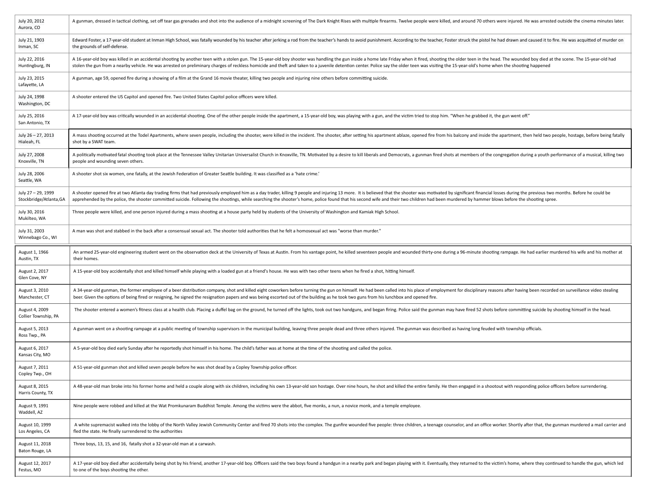| July 20, 2012<br>Aurora, CO                  | A gunman, dressed in tactical clothing, set off tear gas grenades and shot into the audience of a midnight screening of The Dark Knight Rises with multiple firearms. Twelve people were killed, and around 70 others were inj                                                                                                                                                                                                                                   |
|----------------------------------------------|------------------------------------------------------------------------------------------------------------------------------------------------------------------------------------------------------------------------------------------------------------------------------------------------------------------------------------------------------------------------------------------------------------------------------------------------------------------|
| July 21, 1903<br>Inman, SC                   | Edward Foster, a 17-year-old student at Inman High School, was fatally wounded by his teacher after jerking a rod from the teacher's hands to avoid punishment. According to the teacher, Foster struck the pistol he had draw<br>the grounds of self-defense.                                                                                                                                                                                                   |
| July 22, 2016<br>Huntingburg, IN             | A 16-year-old boy was killed in an accidental shooting by another teen with a stolen gun. The 15-year-old boy shooter was handling the gun inside a home late Friday when it fired, shooting the older teen in the head. The w<br>stolen the gun from a nearby vehicle. He was arrested on preliminary charges of reckless homicide and theft and taken to a juvenile detention center. Police say the older teen was visiting the 15-year-old's home when the s |
| July 23, 2015<br>Lafayette, LA               | A gunman, age 59, opened fire during a showing of a film at the Grand 16 movie theater, killing two people and injuring nine others before committing suicide.                                                                                                                                                                                                                                                                                                   |
| July 24, 1998<br>Washington, DC              | A shooter entered the US Capitol and opened fire. Two United States Capitol police officers were killed.                                                                                                                                                                                                                                                                                                                                                         |
| July 25, 2016<br>San Antonio, TX             | A 17-year-old boy was critically wounded in an accidental shooting. One of the other people inside the apartment, a 15-year-old boy, was playing with a gun, and the victim tried to stop him. "When he grabbed it, the gun we                                                                                                                                                                                                                                   |
| July 26 - 27, 2013<br>Hialeah, FL            | A mass shooting occurred at the Todel Apartments, where seven people, including the shooter, were killed in the incident. The shooter, after setting his apartment ablaze, opened fire from his balcony and inside the apartme<br>shot by a SWAT team.                                                                                                                                                                                                           |
| July 27, 2008<br>Knoxville, TN               | A politically motivated fatal shooting took place at the Tennessee Valley Unitarian Universalist Church in Knoxville, TN. Motivated by a desire to kill liberals and Democrats, a gunman fired shots at members of the congreg<br>people and wounding seven others.                                                                                                                                                                                              |
| July 28, 2006<br>Seattle, WA                 | A shooter shot six women, one fatally, at the Jewish Federation of Greater Seattle building. It was classified as a 'hate crime.'                                                                                                                                                                                                                                                                                                                                |
| July 27 - 29, 1999<br>Stockbridge/Atlanta,GA | A shooter opened fire at two Atlanta day trading firms that had previously employed him as a day trader, killing 9 people and injuring 13 more. It is believed that the shooter was motivated by significant financial losses<br>apprehended by the police, the shooter committed suicide. Following the shootings, while searching the shooter's home, police found that his second wife and their two children had been murdered by hammer blows before the s  |
| July 30, 2016<br>Mukilteo, WA                | Three people were killed, and one person injured during a mass shooting at a house party held by students of the University of Washington and Kamiak High School.                                                                                                                                                                                                                                                                                                |
| July 31, 2003<br>Winnebago Co., WI           | A man was shot and stabbed in the back after a consensual sexual act. The shooter told authorities that he felt a homosexual act was "worse than murder."                                                                                                                                                                                                                                                                                                        |
|                                              |                                                                                                                                                                                                                                                                                                                                                                                                                                                                  |
| August 1, 1966<br>Austin, TX                 | An armed 25-year-old engineering student went on the observation deck at the University of Texas at Austin. From his vantage point, he killed seventeen people and wounded thirty-one during a 96-minute shooting rampage. He<br>their homes.                                                                                                                                                                                                                    |
| August 2, 2017<br>Glen Cove, NY              | A 15-year-old boy accidentally shot and killed himself while playing with a loaded gun at a friend's house. He was with two other teens when he fired a shot, hitting himself.                                                                                                                                                                                                                                                                                   |
| August 3, 2010<br>Manchester, CT             | A 34-year-old gunman, the former employee of a beer distribution company, shot and killed eight coworkers before turning the gun on himself. He had been called into his place of employment for disciplinary reasons after ha<br>beer. Given the options of being fired or resigning, he signed the resignation papers and was being escorted out of the building as he took two guns from his lunchbox and opened fire.                                        |
| August 4, 2009<br>Collier Township, PA       | The shooter entered a women's fitness class at a health club. Placing a duffel bag on the ground, he turned off the lights, took out two handguns, and began firing. Police said the gunman may have fired 52 shots before com                                                                                                                                                                                                                                   |
| August 5, 2013<br>Ross Twp., PA              | A gunman went on a shooting rampage at a public meeting of township supervisors in the municipal building, leaving three people dead and three others injured. The gunman was described as having long feuded with township of                                                                                                                                                                                                                                   |
| August 6, 2017<br>Kansas City, MO            | A 5-year-old boy died early Sunday after he reportedly shot himself in his home. The child's father was at home at the time of the shooting and called the police.                                                                                                                                                                                                                                                                                               |
| August 7, 2011<br>Copley Twp., OH            | A 51-year-old gunman shot and killed seven people before he was shot dead by a Copley Township police officer.                                                                                                                                                                                                                                                                                                                                                   |
| August 8, 2015<br>Harris County, TX          | A 48-year-old man broke into his former home and held a couple along with six children, including his own 13-year-old son hostage. Over nine hours, he shot and killed the entire family. He then engaged in a shootout with r                                                                                                                                                                                                                                   |
| August 9, 1991<br>Waddell, AZ                | Nine people were robbed and killed at the Wat Promkunaram Buddhist Temple. Among the victims were the abbot, five monks, a nun, a novice monk, and a temple employee.                                                                                                                                                                                                                                                                                            |
| August 10, 1999<br>Los Angeles, CA           | A white supremacist walked into the lobby of the North Valley Jewish Community Center and fired 70 shots into the complex. The gunfire wounded five people: three children, a teenage counselor, and an office worker. Shortly<br>fled the state. He finally surrendered to the authorities                                                                                                                                                                      |
| August 11, 2018<br>Baton Rouge, LA           | Three boys, 13, 15, and 16, fatally shot a 32-year-old man at a carwash.                                                                                                                                                                                                                                                                                                                                                                                         |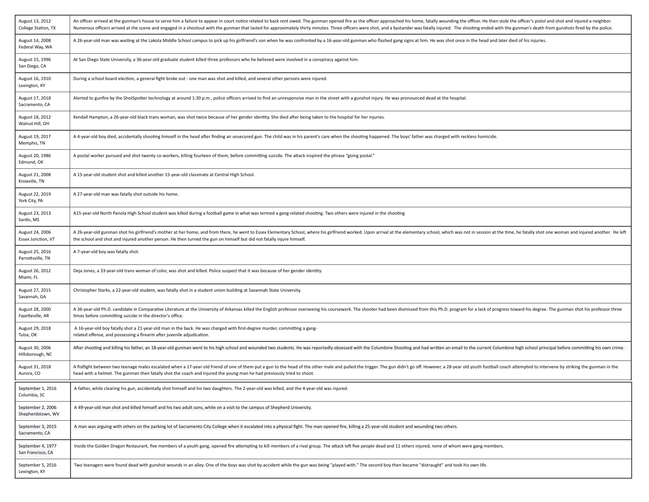| August 13, 2012<br>College Station, TX | An officer arrived at the gunman's house to serve him a failure to appear in court notice related to back rent owed. The gunman opened fire as the officer approached his home, fatally wounding the officer. He then stole th<br>Numerous officers arrived at the scene and engaged in a shootout with the gunman that lasted for approximately thirty minutes. Three officers were shot, and a bystander was fatally injured. The shooting ended with the gunm |
|----------------------------------------|------------------------------------------------------------------------------------------------------------------------------------------------------------------------------------------------------------------------------------------------------------------------------------------------------------------------------------------------------------------------------------------------------------------------------------------------------------------|
| August 14, 2008<br>Federal Way, WA     | A 26-year-old man was waiting at the Lakota Middle School campus to pick up his girlfriend's son when he was confronted by a 16-year-old gunman who flashed gang signs at him. He was shot once in the head and later died of                                                                                                                                                                                                                                    |
| August 15, 1996<br>San Diego, CA       | At San Diego State University, a 36-year-old graduate student killed three professors who he believed were involved in a conspiracy against him.                                                                                                                                                                                                                                                                                                                 |
| August 16, 1910<br>Lexington, KY       | During a school board election, a general fight broke out - one man was shot and killed, and several other persons were injured.                                                                                                                                                                                                                                                                                                                                 |
| August 17, 2018<br>Sacramento, CA      | Alerted to gunfire by the ShotSpotter technology at around 1:30 p.m., police officers arrived to find an unresponsive man in the street with a gunshot injury. He was pronounced dead at the hospital.                                                                                                                                                                                                                                                           |
| August 18, 2012<br>Walnut Hill, OH     | Kendall Hampton, a 26-year-old black trans woman, was shot twice because of her gender identity. She died after being taken to the hospital for her injuries.                                                                                                                                                                                                                                                                                                    |
| August 19, 2017<br>Memphis, TN         | A 4-year-old boy died, accidentally shooting himself in the head after finding an unsecured gun. The child was in his parent's care when the shooting happened. The boys' father was charged with reckless homicide.                                                                                                                                                                                                                                             |
| August 20, 1986<br>Edmond, OK          | A postal worker pursued and shot twenty co-workers, killing fourteen of them, before committing suicide. The attack inspired the phrase "going postal."                                                                                                                                                                                                                                                                                                          |
| August 21, 2008<br>Knoxville, TN       | A 15-year-old student shot and killed another 15-year-old classmate at Central High School.                                                                                                                                                                                                                                                                                                                                                                      |
| August 22, 2019<br>York City, PA       | A 27-year-old man was fatally shot outside his home.                                                                                                                                                                                                                                                                                                                                                                                                             |
| August 23, 2013<br>Sardis, MS          | A15-year-old North Panola High School student was killed during a football game in what was termed a gang-related shooting. Two others were injured in the shooting                                                                                                                                                                                                                                                                                              |
| August 24, 2006<br>Essex Junction, VT  | A 26-year-old gunman shot his girlfriend's mother at her home, and from there, he went to Essex Elementary School, where his girlfriend worked. Upon arrival at the elementary school, which was not in session at the time, h<br>the school and shot and injured another person. He then turned the gun on himself but did not fatally injure himself.                                                                                                          |
| August 25, 2016<br>Parrottsville, TN   | A 7-year-old boy was fatally shot.                                                                                                                                                                                                                                                                                                                                                                                                                               |
| August 26, 2012<br>Miami, FL           | Deja Jones, a 33-year-old trans woman of color, was shot and killed. Police suspect that it was because of her gender identity.                                                                                                                                                                                                                                                                                                                                  |
| August 27, 2015<br>Savannah, GA        | Christopher Starks, a 22-year-old student, was fatally shot in a student union building at Savannah State University.                                                                                                                                                                                                                                                                                                                                            |
| August 28, 2000<br>Fayetteville, AR    | A 36-year-old Ph.D. candidate in Comparative Literature at the University of Arkansas killed the English professor overseeing his coursework. The shooter had been dismissed from this Ph.D. program for a lack of progress to<br>times before committing suicide in the director's office.                                                                                                                                                                      |
| August 29, 2018<br>Tulsa, OK           | A 16-year-old boy fatally shot a 21-year-old man in the back. He was charged with first-degree murder, committing a gang-<br>related offense, and possessing a firearm after juvenile adjudication.                                                                                                                                                                                                                                                              |
| August 30, 2006<br>Hillsborough, NC    | After shooting and killing his father, an 18-year-old gunman went to his high school and wounded two students. He was reportedly obsessed with the Columbine Shooting and had written an email to the current Columbine high s                                                                                                                                                                                                                                   |
| August 31, 2018<br>Aurora, CO          | A fistfight between two teenage males escalated when a 17-year-old friend of one of them put a gun to the head of the other male and pulled the trigger. The gun didn't go off. However, a 28-year old youth football coach at<br>head with a helmet. The gunman then fatally shot the coach and injured the young man he had previously tried to shoot.                                                                                                         |
| September 1, 2016<br>Columbia, SC      | A father, while clearing his gun, accidentally shot himself and his two daughters. The 2-year-old was killed, and the 4-year-old was injured.                                                                                                                                                                                                                                                                                                                    |
| September 2, 2006<br>Shepherdstown, WV | A 49-year-old man shot and killed himself and his two adult sons, while on a visit to the campus of Shepherd University.                                                                                                                                                                                                                                                                                                                                         |
| September 3, 2015<br>Sacramento, CA    | A man was arguing with others on the parking lot of Sacramento City College when it escalated into a physical fight. The man opened fire, killing a 25-year-old student and wounding two others.                                                                                                                                                                                                                                                                 |
| September 4, 1977<br>San Francisco, CA | Inside the Golden Dragon Restaurant, five members of a youth gang, opened fire attempting to kill members of a rival group. The attack left five people dead and 11 others injured, none of whom were gang members.                                                                                                                                                                                                                                              |
| September 5, 2016<br>Lexington, KY     | Two teenagers were found dead with gunshot wounds in an alley. One of the boys was shot by accident while the gun was being "played with." The second boy then became "distraught" and took his own life.                                                                                                                                                                                                                                                        |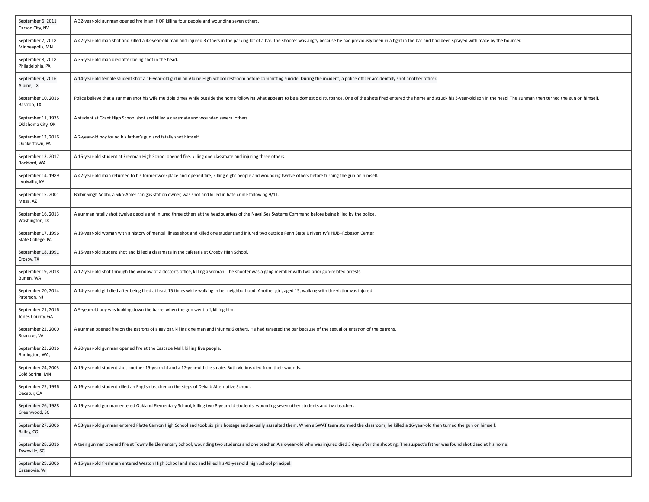| September 6, 2011<br>Carson City, NV    | A 32-year-old gunman opened fire in an IHOP killing four people and wounding seven others.                                                                                                                                     |
|-----------------------------------------|--------------------------------------------------------------------------------------------------------------------------------------------------------------------------------------------------------------------------------|
| September 7, 2018<br>Minneapolis, MN    | A 47-year-old man shot and killed a 42-year-old man and injured 3 others in the parking lot of a bar. The shooter was angry because he had previously been in a fight in the bar and had been sprayed with mace by the bouncer |
| September 8, 2018<br>Philadelphia, PA   | A 35-year-old man died after being shot in the head.                                                                                                                                                                           |
| September 9, 2016<br>Alpine, TX         | A 14-year-old female student shot a 16-year-old girl in an Alpine High School restroom before committing suicide. During the incident, a police officer accidentally shot another officer.                                     |
| September 10, 2016<br>Bastrop, TX       | Police believe that a gunman shot his wife multiple times while outside the home following what appears to be a domestic disturbance. One of the shots fired entered the home and struck his 3-year-old son in the head. The g |
| September 11, 1975<br>Oklahoma City, OK | A student at Grant High School shot and killed a classmate and wounded several others.                                                                                                                                         |
| September 12, 2016<br>Quakertown, PA    | A 2-year-old boy found his father's gun and fatally shot himself.                                                                                                                                                              |
| September 13, 2017<br>Rockford, WA      | A 15-year-old student at Freeman High School opened fire, killing one classmate and injuring three others.                                                                                                                     |
| September 14, 1989<br>Louisville, KY    | A 47-year-old man returned to his former workplace and opened fire, killing eight people and wounding twelve others before turning the gun on himself.                                                                         |
| September 15, 2001<br>Mesa, AZ          | Balbir Singh Sodhi, a Sikh-American gas station owner, was shot and killed in hate crime following 9/11.                                                                                                                       |
| September 16, 2013<br>Washington, DC    | A gunman fatally shot twelve people and injured three others at the headquarters of the Naval Sea Systems Command before being killed by the police.                                                                           |
| September 17, 1996<br>State College, PA | A 19-year-old woman with a history of mental illness shot and killed one student and injured two outside Penn State University's HUB-Robeson Center.                                                                           |
| September 18, 1991<br>Crosby, TX        | A 15-year-old student shot and killed a classmate in the cafeteria at Crosby High School.                                                                                                                                      |
| September 19, 2018<br>Burien, WA        | A 17-year-old shot through the window of a doctor's office, killing a woman. The shooter was a gang member with two prior gun-related arrests.                                                                                 |
| September 20, 2014<br>Paterson, NJ      | A 14-year-old girl died after being fired at least 15 times while walking in her neighborhood. Another girl, aged 15, walking with the victim was injured.                                                                     |
| September 21, 2016<br>Jones County, GA  | A 9-year-old boy was looking down the barrel when the gun went off, killing him.                                                                                                                                               |
| September 22, 2000<br>Roanoke, VA       | A gunman opened fire on the patrons of a gay bar, killing one man and injuring 6 others. He had targeted the bar because of the sexual orientation of the patrons.                                                             |
| September 23, 2016<br>Burlington, WA,   | A 20-year-old gunman opened fire at the Cascade Mall, killing five people.                                                                                                                                                     |
| September 24, 2003<br>Cold Spring, MN   | A 15-year-old student shot another 15-year-old and a 17-year-old classmate. Both victims died from their wounds.                                                                                                               |
| September 25, 1996<br>Decatur, GA       | A 16-year-old student killed an English teacher on the steps of Dekalb Alternative School.                                                                                                                                     |
| September 26, 1988<br>Greenwood, SC     | A 19-year-old gunman entered Oakland Elementary School, killing two 8-year-old students, wounding seven other students and two teachers.                                                                                       |
| September 27, 2006<br>Bailey, CO        | A 53-year-old gunman entered Platte Canyon High School and took six girls hostage and sexually assaulted them. When a SWAT team stormed the classroom, he killed a 16-year-old then turned the gun on himself.                 |
| September 28, 2016<br>Townville, SC     | A teen gunman opened fire at Townville Elementary School, wounding two students and one teacher. A six-year-old who was injured died 3 days after the shooting. The suspect's father was found shot dead at his home.          |
| September 29, 2006<br>Cazenovia, WI     | A 15-year-old freshman entered Weston High School and shot and killed his 49-year-old high school principal.                                                                                                                   |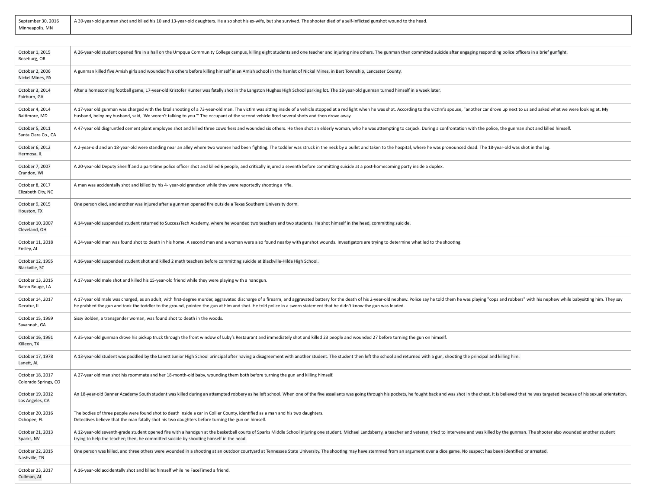| September 30, 2016 | A 39-year-old gunman shot and killed his 10 and 13-year-old daughters. He also shot his ex-wife, but she survived. The shooter died of a self-inflicted gunshot wound to the head. |
|--------------------|------------------------------------------------------------------------------------------------------------------------------------------------------------------------------------|
| Minneapolis, MN    |                                                                                                                                                                                    |

<u> 1989 - Jan Samuel Barbara, margaret a shekara ta 1989 - An tsara tsara tsara tsara tsara tsara tsara tsara ts</u>

 $\overline{\phantom{0}}$ 

| October 1, 2015<br>Roseburg, OR          | A 26-year-old student opened fire in a hall on the Umpqua Community College campus, killing eight students and one teacher and injuring nine others. The gunman then committed suicide after engaging responding police office                                                                                                                                                                        |
|------------------------------------------|-------------------------------------------------------------------------------------------------------------------------------------------------------------------------------------------------------------------------------------------------------------------------------------------------------------------------------------------------------------------------------------------------------|
| October 2, 2006<br>Nickel Mines, PA      | A gunman killed five Amish girls and wounded five others before killing himself in an Amish school in the hamlet of Nickel Mines, in Bart Township, Lancaster County.                                                                                                                                                                                                                                 |
| October 3, 2014<br>Fairburn, GA          | After a homecoming football game, 17-year-old Kristofer Hunter was fatally shot in the Langston Hughes High School parking lot. The 18-year-old gunman turned himself in a week later.                                                                                                                                                                                                                |
| October 4, 2014<br>Baltimore, MD         | A 17-year old gunman was charged with the fatal shooting of a 73-year-old man. The victim was sitting inside of a vehicle stopped at a red light when he was shot. According to the victim's spouse, "another car drove up nex<br>husband, being my husband, said, 'We weren't talking to you." The occupant of the second vehicle fired several shots and then drove away.                           |
| October 5, 2011<br>Santa Clara Co., CA   | A 47-year old disgruntled cement plant employee shot and killed three coworkers and wounded six others. He then shot an elderly woman, who he was attempting to carjack. During a confrontation with the police, the gunman sh                                                                                                                                                                        |
| October 6, 2012<br>Hermosa, IL           | A 2-year-old and an 18-year-old were standing near an alley where two women had been fighting. The toddler was struck in the neck by a bullet and taken to the hospital, where he was pronounced dead. The 18-year-old was sho                                                                                                                                                                        |
| October 7, 2007<br>Crandon, WI           | A 20-year-old Deputy Sheriff and a part-time police officer shot and killed 6 people, and critically injured a seventh before committing suicide at a post-homecoming party inside a duplex.                                                                                                                                                                                                          |
| October 8, 2017<br>Elizabeth City, NC    | A man was accidentally shot and killed by his 4- year-old grandson while they were reportedly shooting a rifle.                                                                                                                                                                                                                                                                                       |
| October 9, 2015<br>Houston, TX           | One person died, and another was injured after a gunman opened fire outside a Texas Southern University dorm.                                                                                                                                                                                                                                                                                         |
| October 10, 2007<br>Cleveland, OH        | A 14-year-old suspended student returned to SuccessTech Academy, where he wounded two teachers and two students. He shot himself in the head, committing suicide.                                                                                                                                                                                                                                     |
| October 11, 2018<br>Ensley, AL           | A 24-year-old man was found shot to death in his home. A second man and a woman were also found nearby with gunshot wounds. Investigators are trying to determine what led to the shooting.                                                                                                                                                                                                           |
| October 12, 1995<br>Blackville, SC       | A 16-year-old suspended student shot and killed 2 math teachers before committing suicide at Blackville-Hilda High School.                                                                                                                                                                                                                                                                            |
| October 13, 2015<br>Baton Rouge, LA      | A 17-year-old male shot and killed his 15-year-old friend while they were playing with a handgun.                                                                                                                                                                                                                                                                                                     |
| October 14, 2017<br>Decatur, IL          | A 17-year old male was charged, as an adult, with first-degree murder, aggravated discharge of a firearm, and aggravated battery for the death of his 2-year-old nephew. Police say he told them he was playing "cops and robb<br>he grabbed the gun and took the toddler to the ground, pointed the gun at him and shot. He told police in a sworn statement that he didn't know the gun was loaded. |
| October 15, 1999<br>Savannah, GA         | Sissy Bolden, a transgender woman, was found shot to death in the woods.                                                                                                                                                                                                                                                                                                                              |
| October 16, 1991<br>Killeen, TX          | A 35-year-old gunman drove his pickup truck through the front window of Luby's Restaurant and immediately shot and killed 23 people and wounded 27 before turning the gun on himself.                                                                                                                                                                                                                 |
| October 17, 1978<br>Lanett, AL           | A 13-year-old student was paddled by the Lanett Junior High School principal after having a disagreement with another student. The student then left the school and returned with a gun, shooting the principal and killing hi                                                                                                                                                                        |
| October 18, 2017<br>Colorado Springs, CO | A 27-year old man shot his roommate and her 18-month-old baby, wounding them both before turning the gun and killing himself.                                                                                                                                                                                                                                                                         |
| October 19, 2012<br>Los Angeles, CA      | An 18-year-old Banner Academy South student was killed during an attempted robbery as he left school. When one of the five assailants was going through his pockets, he fought back and was shot in the chest. It is believed                                                                                                                                                                         |
| October 20, 2016<br>Ochopee, FL          | The bodies of three people were found shot to death inside a car in Collier County, identified as a man and his two daughters.<br>Detectives believe that the man fatally shot his two daughters before turning the gun on himself.                                                                                                                                                                   |
| October 21, 2013<br>Sparks, NV           | A 12-year-old seventh-grade student opened fire with a handgun at the basketball courts of Sparks Middle School injuring one student. Michael Landsberry, a teacher and veteran, tried to intervene and was killed by the gunm<br>trying to help the teacher; then, he committed suicide by shooting himself in the head.                                                                             |
| October 22, 2015<br>Nashville, TN        | One person was killed, and three others were wounded in a shooting at an outdoor courtyard at Tennessee State University. The shooting may have stemmed from an argument over a dice game. No suspect has been identified or a                                                                                                                                                                        |
| October 23, 2017<br>Cullman, AL          | A 16-year-old accidentally shot and killed himself while he FaceTimed a friend.                                                                                                                                                                                                                                                                                                                       |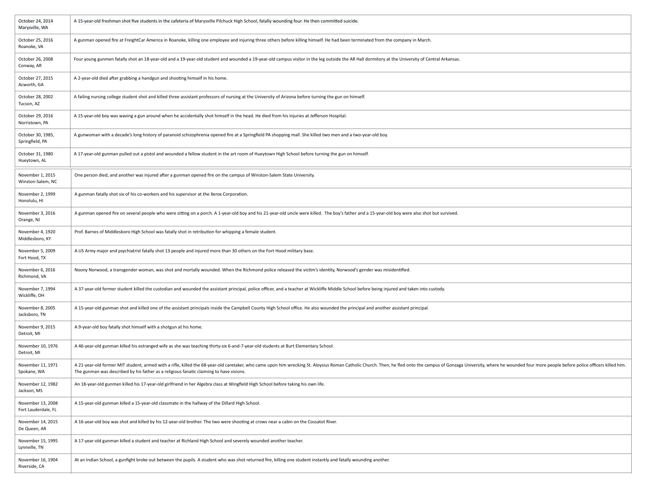| October 24, 2014<br>Marysville, WA       | A 15-year-old freshman shot five students in the cafeteria of Marysville Pilchuck High School, fatally wounding four. He then committed suicide.                                                                                                                                                                          |
|------------------------------------------|---------------------------------------------------------------------------------------------------------------------------------------------------------------------------------------------------------------------------------------------------------------------------------------------------------------------------|
| October 25, 2016<br>Roanoke, VA          | A gunman opened fire at FreightCar America in Roanoke, killing one employee and injuring three others before killing himself. He had been terminated from the company in March.                                                                                                                                           |
| October 26, 2008<br>Conway, AR           | Four young gunmen fatally shot an 18-year-old and a 19-year-old student and wounded a 19-year-old campus visitor in the leg outside the AR Hall dormitory at the University of Central Arkansas.                                                                                                                          |
| October 27, 2015<br>Acworth, GA          | A 2-year-old died after grabbing a handgun and shooting himself in his home.                                                                                                                                                                                                                                              |
| October 28, 2002<br>Tucson, AZ           | A failing nursing college student shot and killed three assistant professors of nursing at the University of Arizona before turning the gun on himself.                                                                                                                                                                   |
| October 29, 2016<br>Norristown, PA       | A 15-year-old boy was waving a gun around when he accidentally shot himself in the head. He died from his injuries at Jefferson Hospital.                                                                                                                                                                                 |
| October 30, 1985,<br>Springfield, PA     | A gunwoman with a decade's long history of paranoid schizophrenia opened fire at a Springfield PA shopping mall. She killed two men and a two-year-old boy.                                                                                                                                                               |
| October 31, 1980<br>Hueytown, AL         | A 17-year-old gunman pulled out a pistol and wounded a fellow student in the art room of Hueytown High School before turning the gun on himself.                                                                                                                                                                          |
| November 1, 2015<br>Winston-Salem, NC    | One person died, and another was injured after a gunman opened fire on the campus of Winston-Salem State University.                                                                                                                                                                                                      |
| November 2, 1999<br>Honolulu, HI         | A gunman fatally shot six of his co-workers and his supervisor at the Xerox Corporation.                                                                                                                                                                                                                                  |
| November 3, 2016<br>Orange, NJ           | A gunman opened fire on several people who were sitting on a porch. A 1-year-old boy and his 21-year-old uncle were killed. The boy's father and a 15-year-old boy were also shot but survived.                                                                                                                           |
| November 4, 1920<br>Middlesboro, KY      | Prof. Barnes of Middlesboro High School was fatally shot in retribution for whipping a female student.                                                                                                                                                                                                                    |
| November 5, 2009<br>Fort Hood, TX        | A US Army major and psychiatrist fatally shot 13 people and injured more than 30 others on the Fort Hood military base.                                                                                                                                                                                                   |
| November 6, 2016<br>Richmond, VA         | Noony Norwood, a transgender woman, was shot and mortally wounded. When the Richmond police released the victim's identity, Norwood's gender was misidentified.                                                                                                                                                           |
| November 7, 1994<br>Wickliffe, OH        | A 37-year-old former student killed the custodian and wounded the assistant principal, police officer, and a teacher at Wickliffe Middle School before being injured and taken into custody.                                                                                                                              |
| November 8, 2005<br>Jacksboro, TN        | A 15-year-old gunman shot and killed one of the assistant principals inside the Campbell County High School office. He also wounded the principal and another assistant principal.                                                                                                                                        |
| November 9, 2015<br>Detroit, MI          | A 9-year-old boy fatally shot himself with a shotgun at his home.                                                                                                                                                                                                                                                         |
| November 10, 1976<br>Detroit, MI         | A 46-year-old gunman killed his estranged wife as she was teaching thirty-six 6-and-7-year-old students at Burt Elementary School.                                                                                                                                                                                        |
| November 11, 1971<br>Spokane, WA         | A 21-year-old former MIT student, armed with a rifle, killed the 68-year-old caretaker, who came upon him wrecking St. Aloysius Roman Catholic Church. Then, he fled onto the campus of Gonzaga University, where he wounded f<br>The gunman was described by his father as a religious fanatic claiming to have visions. |
| November 12, 1982<br>Jackson, MS         | An 18-year-old gunman killed his 17-year-old girlfriend in her Algebra class at Wingfield High School before taking his own life.                                                                                                                                                                                         |
| November 13, 2008<br>Fort Lauderdale, FL | A 15-year-old gunman killed a 15-year-old classmate in the hallway of the Dillard High School.                                                                                                                                                                                                                            |
| November 14, 2015<br>De Queen, AR        | A 16-year-old boy was shot and killed by his 12-year-old brother. The two were shooting at crows near a cabin on the Cossatot River.                                                                                                                                                                                      |
| November 15, 1995<br>Lynnville, TN       | A 17-year-old gunman killed a student and teacher at Richland High School and severely wounded another teacher.                                                                                                                                                                                                           |
| November 16, 1904<br>Riverside, CA       | At an Indian School, a gunfight broke out between the pupils. A student who was shot returned fire, killing one student instantly and fatally wounding another.                                                                                                                                                           |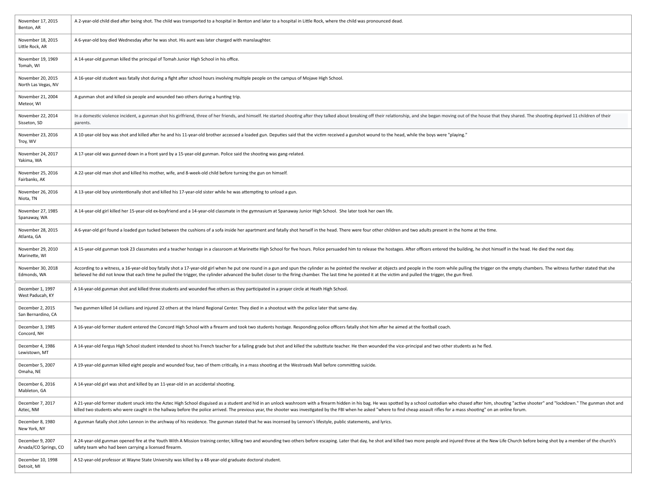| November 17, 2015<br>Benton, AR           | A 2-year-old child died after being shot. The child was transported to a hospital in Benton and later to a hospital in Little Rock, where the child was pronounced dead.                                                                                                                                                                                                                                                                                         |
|-------------------------------------------|------------------------------------------------------------------------------------------------------------------------------------------------------------------------------------------------------------------------------------------------------------------------------------------------------------------------------------------------------------------------------------------------------------------------------------------------------------------|
| November 18, 2015<br>Little Rock, AR      | A 6-year-old boy died Wednesday after he was shot. His aunt was later charged with manslaughter.                                                                                                                                                                                                                                                                                                                                                                 |
| November 19, 1969<br>Tomah, WI            | A 14-year-old gunman killed the principal of Tomah Junior High School in his office.                                                                                                                                                                                                                                                                                                                                                                             |
| November 20, 2015<br>North Las Vegas, NV  | A 16-year-old student was fatally shot during a fight after school hours involving multiple people on the campus of Mojave High School.                                                                                                                                                                                                                                                                                                                          |
| November 21, 2004<br>Meteor, WI           | A gunman shot and killed six people and wounded two others during a hunting trip.                                                                                                                                                                                                                                                                                                                                                                                |
| November 22, 2014<br>Sisseton, SD         | In a domestic violence incident, a gunman shot his girlfriend, three of her friends, and himself. He started shooting after they talked about breaking off their relationship, and she began moving out of the house that they<br>parents.                                                                                                                                                                                                                       |
| November 23, 2016<br>Troy, WV             | A 10-year-old boy was shot and killed after he and his 11-year-old brother accessed a loaded gun. Deputies said that the victim received a gunshot wound to the head, while the boys were "playing."                                                                                                                                                                                                                                                             |
| November 24, 2017<br>Yakima, WA           | A 17-year-old was gunned down in a front yard by a 15-year-old gunman. Police said the shooting was gang-related.                                                                                                                                                                                                                                                                                                                                                |
| November 25, 2016<br>Fairbanks, AK        | A 22-year-old man shot and killed his mother, wife, and 8-week-old child before turning the gun on himself.                                                                                                                                                                                                                                                                                                                                                      |
| November 26, 2016<br>Niota, TN            | A 13-year-old boy unintentionally shot and killed his 17-year-old sister while he was attempting to unload a gun.                                                                                                                                                                                                                                                                                                                                                |
| November 27, 1985<br>Spanaway, WA         | A 14-year-old girl killed her 15-year-old ex-boyfriend and a 14-year-old classmate in the gymnasium at Spanaway Junior High School. She later took her own life.                                                                                                                                                                                                                                                                                                 |
| November 28, 2015<br>Atlanta, GA          | A 6-year-old girl found a loaded gun tucked between the cushions of a sofa inside her apartment and fatally shot herself in the head. There were four other children and two adults present in the home at the time.                                                                                                                                                                                                                                             |
| November 29, 2010<br>Marinette, WI        | A 15-year-old gunman took 23 classmates and a teacher hostage in a classroom at Marinette High School for five hours. Police persuaded him to release the hostages. After officers entered the building, he shot himself in th                                                                                                                                                                                                                                   |
| November 30, 2018<br>Edmonds, WA          | According to a witness, a 16-year-old boy fatally shot a 17-year-old girl when he put one round in a gun and spun the cylinder as he pointed the revolver at objects and people in the room while pulling the trigger on the e<br>believed he did not know that each time he pulled the trigger, the cylinder advanced the bullet closer to the firing chamber. The last time he pointed it at the victim and pulled the trigger, the gun fired.                 |
| December 1, 1997<br>West Paducah, KY      | A 14-year-old gunman shot and killed three students and wounded five others as they participated in a prayer circle at Heath High School.                                                                                                                                                                                                                                                                                                                        |
| December 2, 2015<br>San Bernardino, CA    | Two gunmen killed 14 civilians and injured 22 others at the Inland Regional Center. They died in a shootout with the police later that same day.                                                                                                                                                                                                                                                                                                                 |
| December 3, 1985<br>Concord, NH           | A 16-year-old former student entered the Concord High School with a firearm and took two students hostage. Responding police officers fatally shot him after he aimed at the football coach.                                                                                                                                                                                                                                                                     |
| December 4, 1986<br>Lewistown, MT         | A 14-year-old Fergus High School student intended to shoot his French teacher for a failing grade but shot and killed the substitute teacher. He then wounded the vice-principal and two other students as he fled.                                                                                                                                                                                                                                              |
| December 5, 2007<br>Omaha, NE             | A 19-year-old gunman killed eight people and wounded four, two of them critically, in a mass shooting at the Westroads Mall before committing suicide.                                                                                                                                                                                                                                                                                                           |
| December 6, 2016<br>Mableton, GA          | A 14-year-old girl was shot and killed by an 11-year-old in an accidental shooting                                                                                                                                                                                                                                                                                                                                                                               |
| December 7, 2017<br>Aztec, NM             | A 21-year-old former student snuck into the Aztec High School disguised as a student and hid in an unlock washroom with a firearm hidden in his bag. He was spotted by a school custodian who chased after him, shouting "acti<br>killed two students who were caught in the hallway before the police arrived. The previous year, the shooter was investigated by the FBI when he asked "where to find cheap assault rifles for a mass shooting" on an online f |
| December 8, 1980<br>New York, NY          | A gunman fatally shot John Lennon in the archway of his residence. The gunman stated that he was incensed by Lennon's lifestyle, public statements, and lyrics.                                                                                                                                                                                                                                                                                                  |
| December 9, 2007<br>Arvada/CO Springs, CO | A 24-year-old gunman opened fire at the Youth With A Mission training center, killing two and wounding two others before escaping. Later that day, he shot and killed two more people and injured three at the New Life Church<br>safety team who had been carrying a licensed firearm.                                                                                                                                                                          |
| December 10, 1998<br>Detroit, MI          | A 52-year-old professor at Wayne State University was killed by a 48-year-old graduate doctoral student.                                                                                                                                                                                                                                                                                                                                                         |